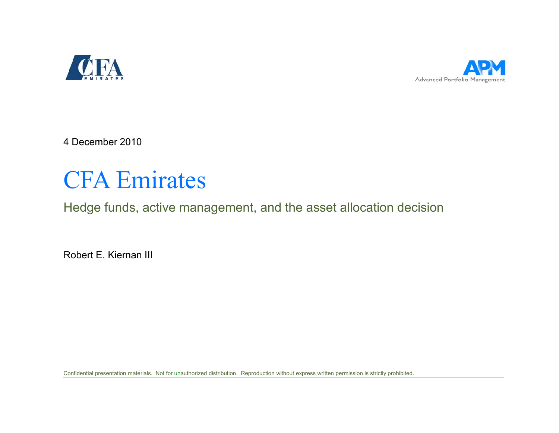



4 December 2010

# CFA Emirates

Hedge funds, active management, and the asset allocation decision

Robert E. Kiernan III

Confidential presentation materials. Not for unauthorized distribution. Reproduction without express written permission is strictly prohibited.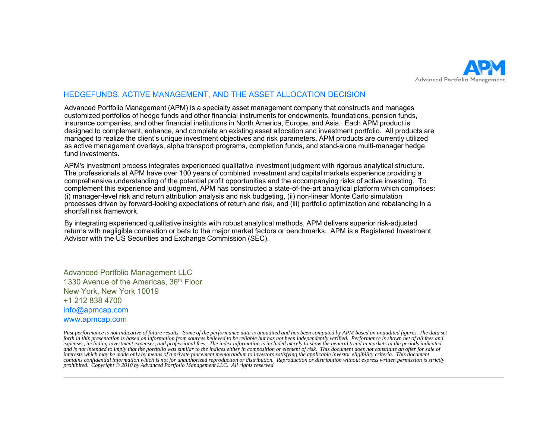

#### HEDGEFUNDS, ACTIVE MANAGEMENT, AND THE ASSET ALLOCATION DECISION

Advanced Portfolio Management (APM) is a specialty asset management company that constructs and manages customized portfolios of hedge funds and other financial instruments for endowments, foundations, pension funds, insurance companies, and other financial institutions in North America, Europe, and Asia. Each APM product is designed to complement, enhance, and complete an existing asset allocation and investment portfolio. All products are managed to realize the client's unique investment objectives and risk parameters. APM products are currently utilized as active management overlays, alpha transport programs, completion funds, and stand-alone multi-manager hedge fund investments.

APM's investment process integrates experienced qualitative investment judgment with rigorous analytical structure. The professionals at APM have over 100 years of combined investment and capital markets experience providing a comprehensive understanding of the potential profit opportunities and the accompanying risks of active investing. To complement this experience and judgment, APM has constructed a state-of-the-art analytical platform which comprises: (i) manager-level risk and return attribution analysis and risk budgeting, (ii) non-linear Monte Carlo simulation processes driven by forward-looking expectations of return and risk, and (iii) portfolio optimization and rebalancing in a shortfall risk framework.

By integrating experienced qualitative insights with robust analytical methods, APM delivers superior risk-adjusted returns with negligible correlation or beta to the major market factors or benchmarks. APM is a Registered Investment Advisor with the US Securities and Exchange Commission (SEC).

Advanced Portfolio Management LLC 1330 Avenue of the Americas, 36<sup>th</sup> Floor New York, New York 10019 +1 212 838 4700 1 info@apmcap.com www.apmcap.com

Past performance is not indicative of future results. Some of the performance data is unaudited and has been computed by APM based on unaudited figures. The data set *forth in this presentation is based on information from sources believed to be reliable but has not been independently verified. Performance is shown net of all fees and expenses, including investment expenses, and professional fees. The index information is included merely to show the general trend in markets in the periods indicated*  and is not intended to imply that the portfolio was similar to the indices either in composition or element of risk. This document does not constitute an offer for sale of interests which may be made only by means of a private placement memorandum to investors satisfying the applicable investor eligibility criteria. This document *contains confidential information which is not for unauthorized reproduction or distribution. Reproduction or distribution without express written permission is strictly prohibited. Copyright © 2010 by Advanced Portfolio Management LLC. All rights reserved.*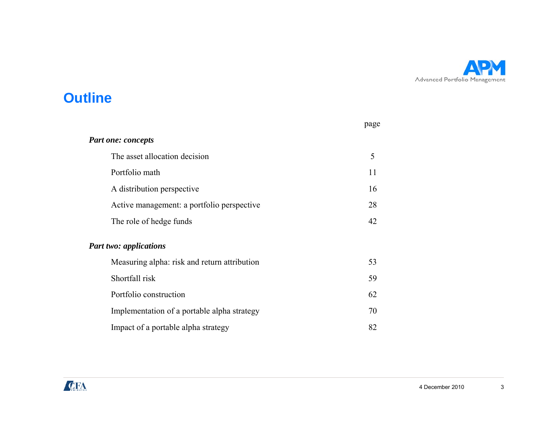

#### **Outline**

|                                              | page |
|----------------------------------------------|------|
| <b>Part one: concepts</b>                    |      |
| The asset allocation decision                | 5    |
| Portfolio math                               | 11   |
| A distribution perspective                   | 16   |
| Active management: a portfolio perspective   | 28   |
| The role of hedge funds                      | 42   |
| <b>Part two: applications</b>                |      |
| Measuring alpha: risk and return attribution | 53   |
| Shortfall risk                               | 59   |
| Portfolio construction                       | 62   |
| Implementation of a portable alpha strategy  | 70   |
| Impact of a portable alpha strategy          | 82   |

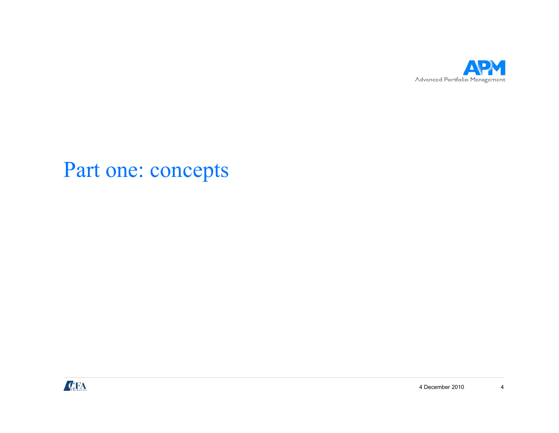

# Part one: concepts

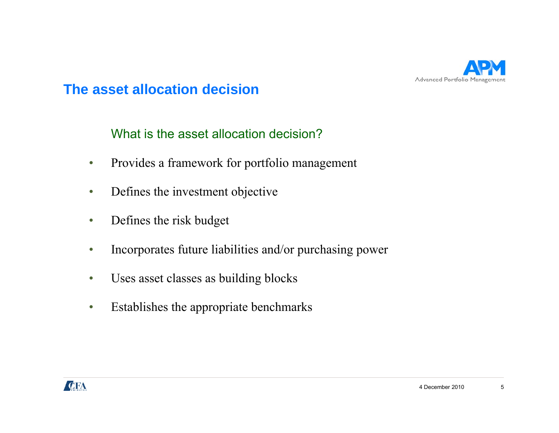

What is the asset allocation decision?

- •Provides a framework for portfolio management
- •• Defines the investment objective
- $\bullet$ Defines the risk budget
- $\bullet$ • Incorporates future liabilities and/or purchasing power
- $\bullet$ Uses asset classes as building blocks
- •Establishes the appropriate benchmarks

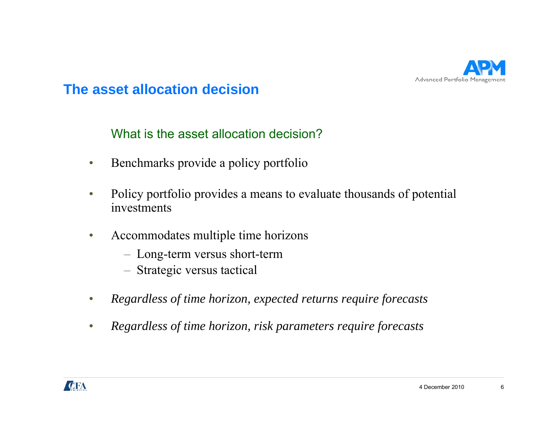

What is the asset allocation decision?

- •Benchmarks provide a policy portfolio
- $\bullet$  Policy portfolio provides a means to evaluate thousands of potential investments
- $\bullet$  Accommodates multiple time horizons
	- Long-term versus short-term
	- Strategic versus tactical
- •*Regardless of time horizon expected returns require forecasts horizon,*
- •*Regardless of time horizon, risk parameters require forecasts*

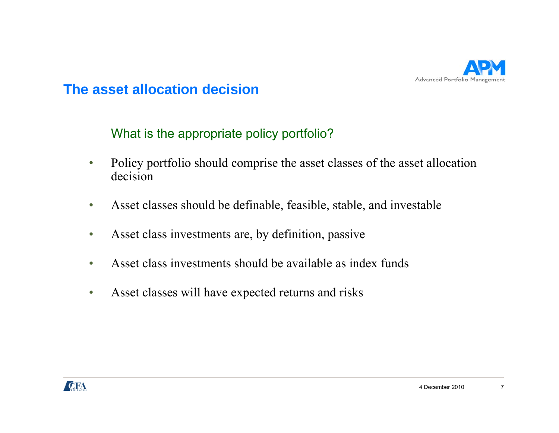

What is the appropriate policy portfolio?

- • Policy portfolio should comprise the asset classes of the asset allocation decision
- •Asset classes should be definable, feasible, stable, and investable
- •Asset class investments are, by definition, passive
- •Asset class investments should be available as index funds
- •Asset classes will have ex pected returns and risks

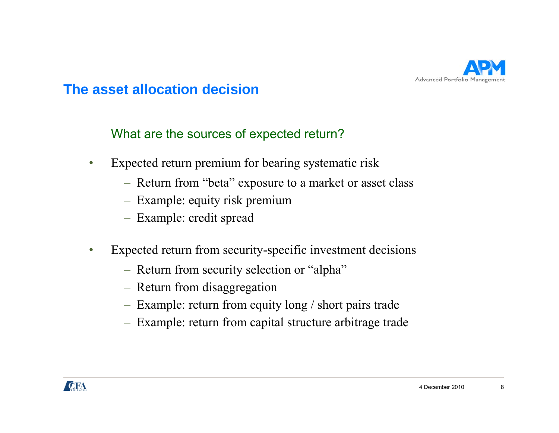

What are the sources of expected return?

- • Expected return premium for bearing systematic risk
	- Return from "beta" ex posure to a market or asset class
	- Example: equity risk premium
	- Example: credit spread
- • Expected return from security-specific investment decisions
	- Return from security selection or "alpha"
	- Return from disaggregation
	- Example: return from equity long / short pairs trade
	- Example: return from capital structure arbitrage trade

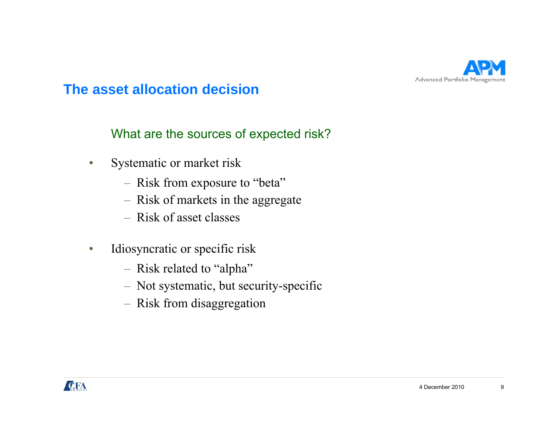

What are the sources of expected risk?

- • Systematic or market risk
	- Risk from ex posure to "beta"
	- Risk of markets in the aggregate
	- Risk of asset classes
- $\bullet$  Idiosyncratic or specific risk
	- Risk related to "alpha"
	- Not systematic, but security-specific
	- Risk from disaggregation

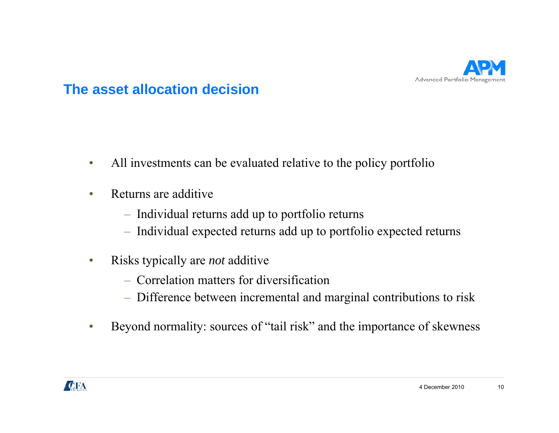

- •All investments can be evaluated relative to the policy portfolio
- • Returns are additive
	- Individual returns add up to portfolio returns
	- Individual expected returns add up to portfolio expected returns
- $\bullet$  Risks typically are *not* additive
	- Correlation matters for diversification
	- Difference between incremental and marginal contributions to risk
- •Beyond normality: sources of "tail risk" and the importance of skewness

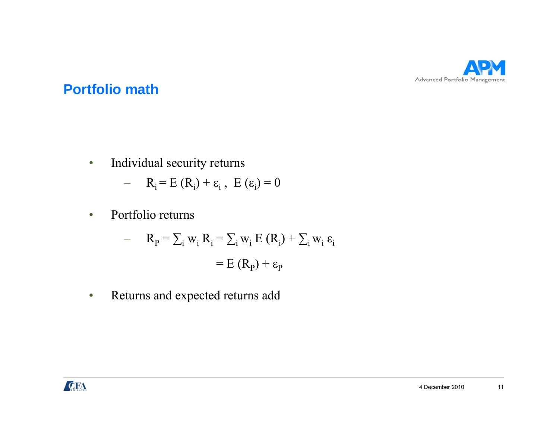

•Individual security returns

$$
- R_i = E(R_i) + \varepsilon_i, E(\varepsilon_i) = 0
$$

 $\bullet$ • Portfolio returns

$$
- \quad R_{\rm p} = \sum_{i} w_{i} R_{i} = \sum_{i} w_{i} E (R_{i}) + \sum_{i} w_{i} \varepsilon_{i}
$$

$$
= E (R_{\rm p}) + \varepsilon_{\rm p}
$$

•Returns and expected returns add

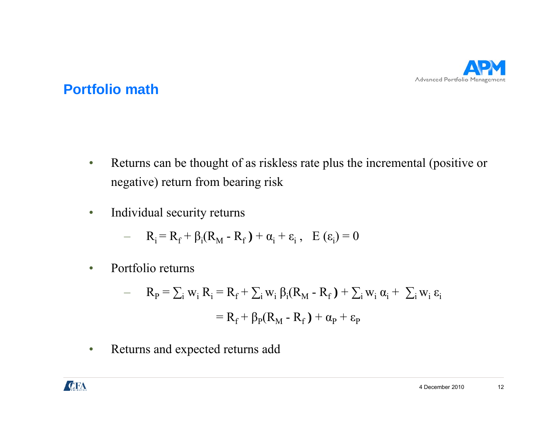

- • Returns can be thought of as riskless rate plus the incremental (positive or negative) return from bearing risk
- •Individual security returns

$$
- \qquad R_i = R_f + \beta_i (R_M - R_f) + \alpha_i + \varepsilon_i \,, \quad E(\varepsilon_i) = 0
$$

•• Portfolio returns

$$
- \quad R_P = \sum_i w_i R_i = R_f + \sum_i w_i \beta_i (R_M - R_f) + \sum_i w_i \alpha_i + \sum_i w_i \epsilon_i
$$

$$
= R_f + \beta_P (R_M - R_f) + \alpha_P + \epsilon_P
$$

•Returns and expected returns add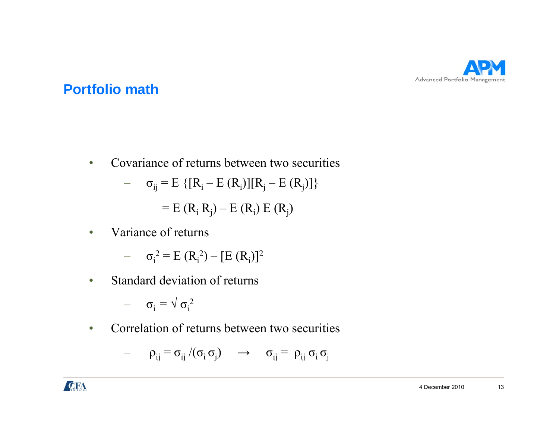

 $\bullet$ • Covariance of returns between two securities

$$
- \quad \sigma_{ij} = E \{ [R_i - E (R_i)][R_j - E (R_j)] \}
$$

 $= E (R_i R_j) - E (R_i) E (R_j)$ 

•Variance of returns

$$
- \quad \sigma_i^2 = E (R_i^2) - [E (R_i)]^2
$$

•• Standard deviation of returns

$$
-\quad \sigma_i=\sqrt{\sigma_i^{\; 2}}
$$

 $\bullet$ • Correlation of returns between two securities

$$
-\qquad \rho_{ij}=\sigma_{ij}\ /\ (\sigma_i\ \sigma_j)\qquad\rightarrow\qquad \sigma_{ij}=\ \rho_{ij}\ \sigma_i\ \sigma_j
$$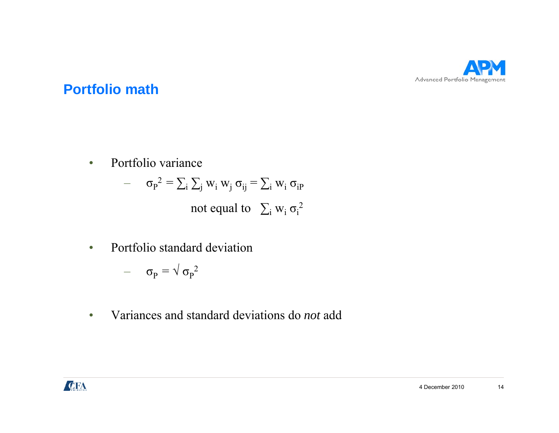

•• Portfolio variance

$$
- \quad \sigma_{\rm p}^2 = \sum_{i} \sum_{j} w_i \, w_j \, \sigma_{ij} = \sum_{i} w_i \, \sigma_{i\rm p}
$$
\nnot equal to  $\sum_{i} w_i \, \sigma_i^2$ 

•• Portfolio standard deviation

$$
-\quad \ \sigma_{P}=\surd\,\sigma_{P}{}^{2}
$$

•Variances and standard deviations do *not* add

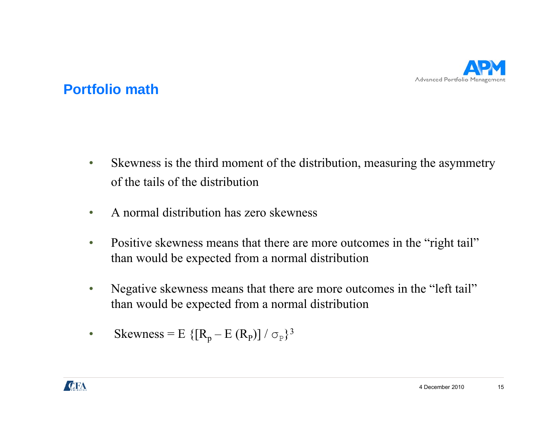

- $\bullet$  Skewness is the third moment of the distribution, measuring the asymmetry of the tails of the distribution
- •A normal distribution has zero skewness
- •Positive skewness means that there are more outcomes in the "right tail" than would be expected from a normal distribution
- • Negative skewness means that there are more outcomes in the "left tail" than would be expected from a normal distribution
- $\bullet$ Skewness = E {[ $R_p - E (R_p)$ ] /  $\sigma_p$ }<sup>3</sup>

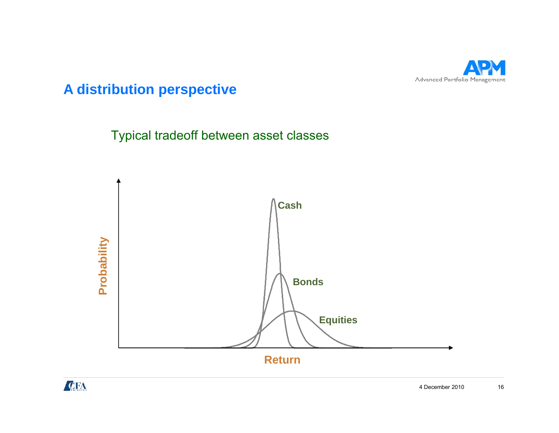

Typical tradeoff between asset classes



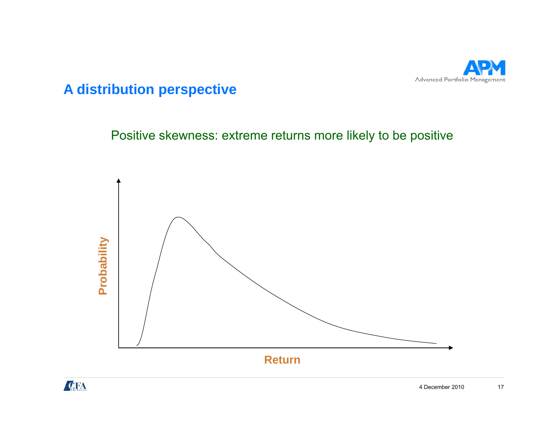

Positive skewness: extreme returns more likely to be positive



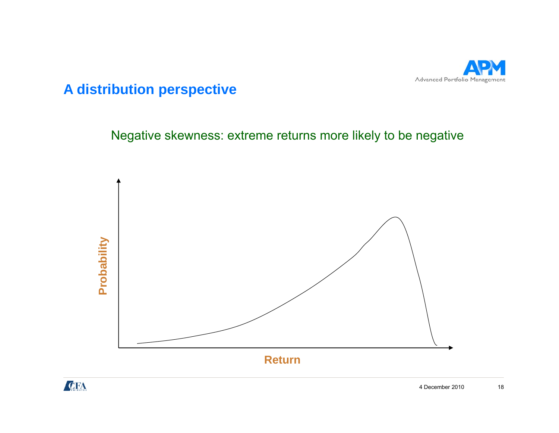

Negative skewness: extreme returns more likely to be negative



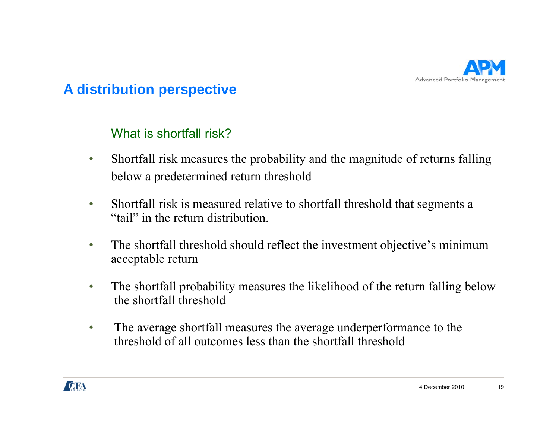

#### What is shortfall risk?

- $\bullet$  Shortfall risk measures the probability and the magnitude of returns falling below a predetermined return threshold
- • Shortfall risk is measured relative to shortfall threshold that segments a "tail" in the return distribution.
- $\bullet$ The shortfall threshold should reflect the investment objective's minimum acceptable return
- • The shortfall probability measures the likelihood of the return falling below the shortfall threshold
- $\bullet$  The average shortfall measures the average underperformance to the threshold of all outcomes less than the shortfall threshold

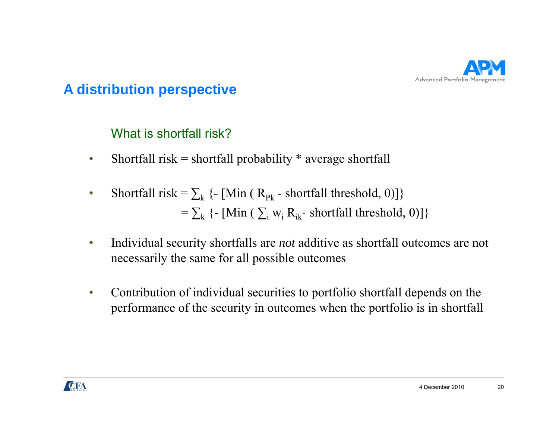

What is shortfall risk?

- $\bullet$ Shortfall risk = shortfall probability  $*$  average shortfall
- •Shortfall risk =  $\sum_{k}$  {- [Min (  $R_{p_k}$  - shortfall threshold, 0)]}  $=\sum_{k} \{- \left[ Min \ (\sum_{i} w_{i} R_{ik} \text{-} \text{ shorthand} \ \text{threshold}, 0) \right] \}$
- • Individual security shortfalls are *not* additive as shortfall outcomes are not necessarily the same for all possible outcomes
- $\bullet$ Contribution of individual securities to portfolio shortfall depends on the performance of the security in outcomes when the portfolio is in shortfall

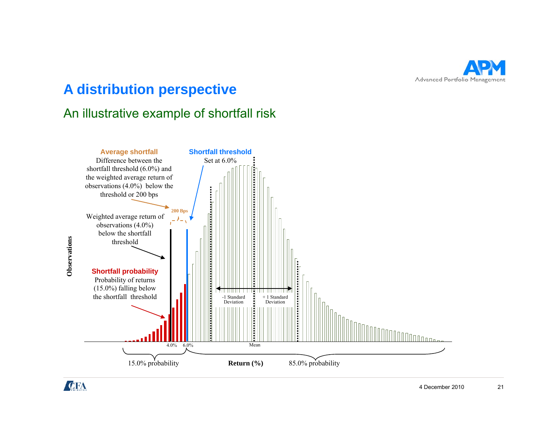

#### An illustrative example of shortfall risk



**Observations Observatio**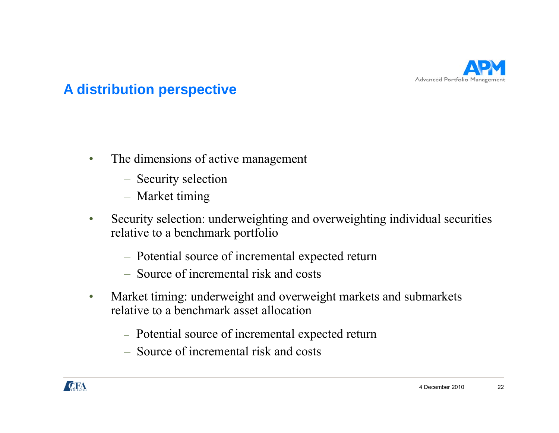

- $\bullet$  The dimensions of active management
	- Security selection
	- Market timing
- $\bullet$  Security selection: underweighting and overweighting individual securities relative to a benchmark portfolio
	- Potential source of incremental expected return
	- Source of incremental risk and costs
- $\bullet$  Market timing: underweight and overweight markets and submarkets relative to a benchmark asset allocation
	- Potential source of incremental expected return
	- Source of incremental risk and costs

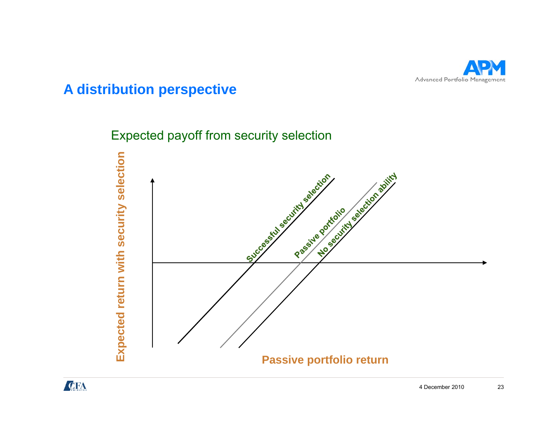

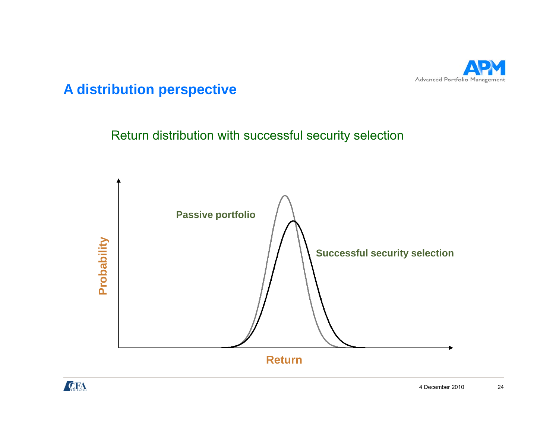

Return distribution with successful security selection



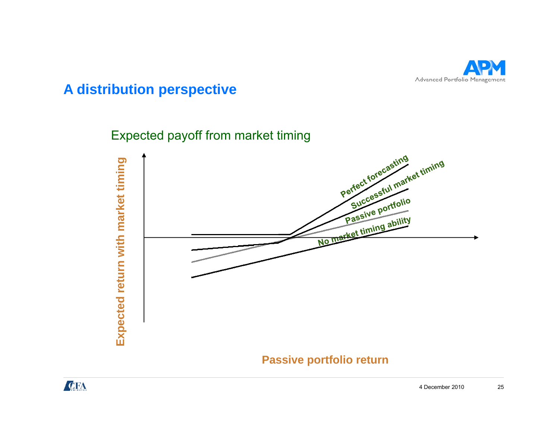

Expected payoff from market timing



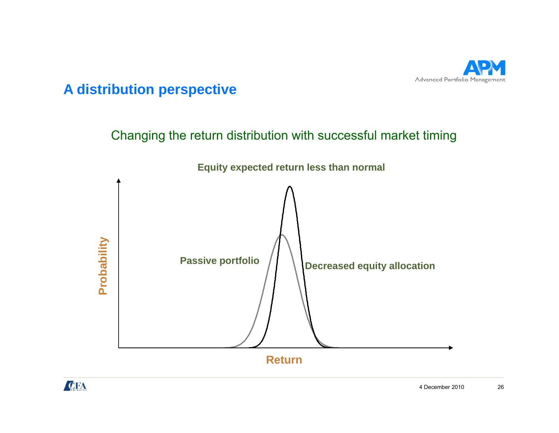

Changing the return distribution with successful market timing



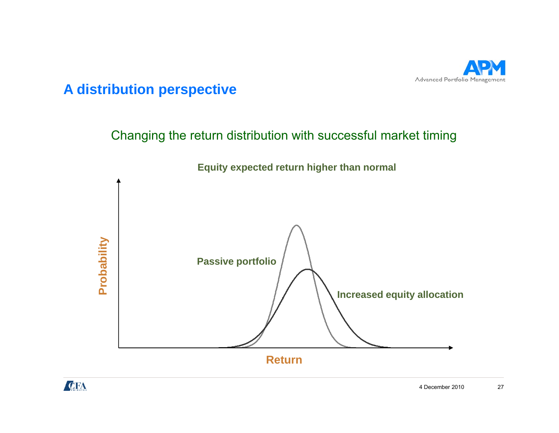

Changing the return distribution with successful market timing



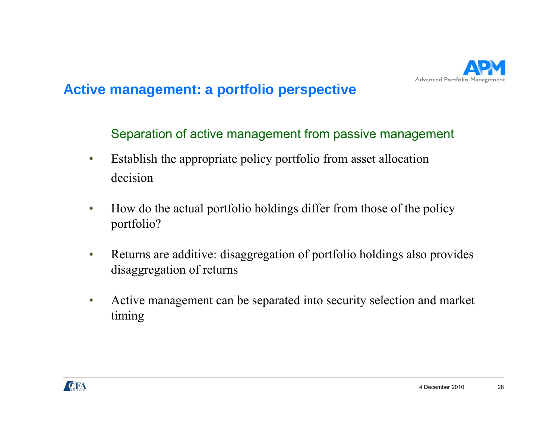

Separation of active management from passive management

- $\bullet$  Establish the appropriate policy portfolio from asset allocation decision
- $\bullet$  How do the actual portfolio holdings differ from those of the policy portfolio?
- $\bullet$  Returns are additive: disaggregation of portfolio holdings also provides disaggregation of returns
- $\bullet$ • Active management can be separated into security selection and market timing

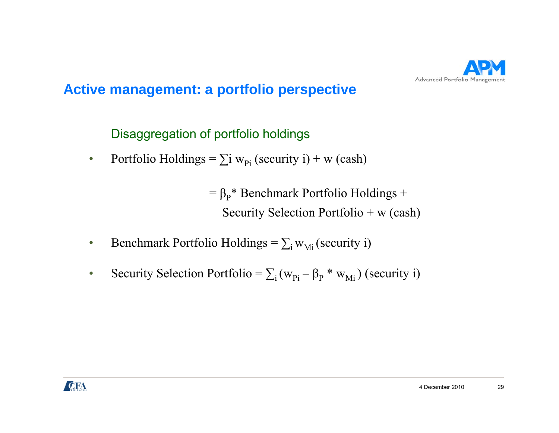

Disaggregation of portfolio holdings

 $\bullet$ • Portfolio Holdings =  $\sum$ i w<sub>Pi</sub> (security i) + w (cash)

> $= \beta_P^*$  Benchmark Portfolio Holdings + Security Selection Portfolio + w (cash)

- •Benchmark Portfolio Holdings =  $\sum_i w_{Mi}$  (security i)
- •Security Selection Portfolio =  $\sum_i (w_{pi})$  $-\beta_P * w_{Mi}$ ) (security i)

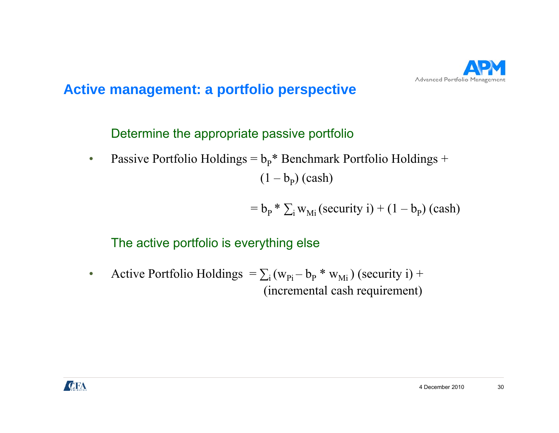

Determine the appropriate passive portfolio

 $\bullet$ • Passive Portfolio Holdings =  $b_p^*$  Benchmark Portfolio Holdings +  $(1 - b_{p})$  (cash)

$$
= b_{P} * \sum_{i} w_{Mi} (security i) + (1 - b_{P}) (cash)
$$

#### The active portfolio is everything else

•Active Portfolio Holdings  $= \sum_i (w_{pi} - b_p * w_{Mi})$  (security i) + (incremental cash requirement)

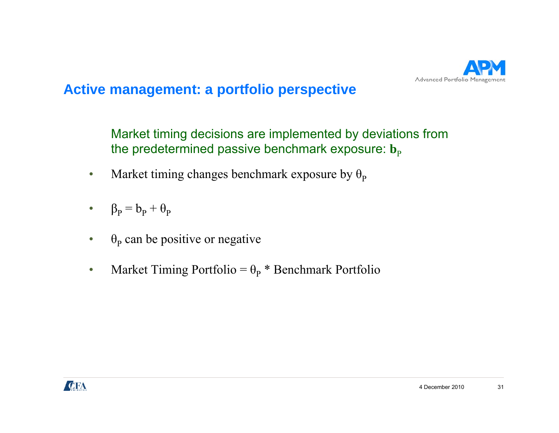

Market timing decisions are implemented by deviations from the predetermined passive benchmark exposure:  $\mathbf{b}_\mathrm{p}$ 

- $\bullet$ • Market timing changes benchmark exposure by  $\theta_{\rm P}$
- ••  $\beta_P = b_P + \theta_P$
- $\bullet$  $\cdot$   $\theta_{\rm p}$  can be positive or negative
- •• Market Timing Portfolio =  $\theta_P$  \* Benchmark Portfolio

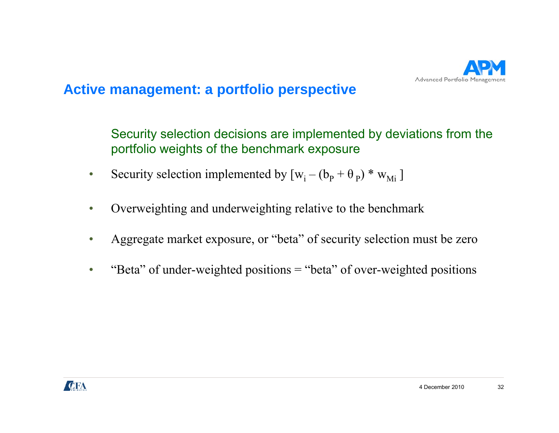

Security selection decisions are implemented by deviations from the portfolio weights of the benchmark exposure

- $\bullet$ Security selection implemented by  $[w_i - (b_p + \theta_p) * w_{Mi}]$
- $\bullet$ Overweighting and underweighting relative to the benchmark
- •• Aggregate market exposure, or "beta" of security selection must be zero
- •"Beta" of under-weighted positions = "beta" of over-weighted positions

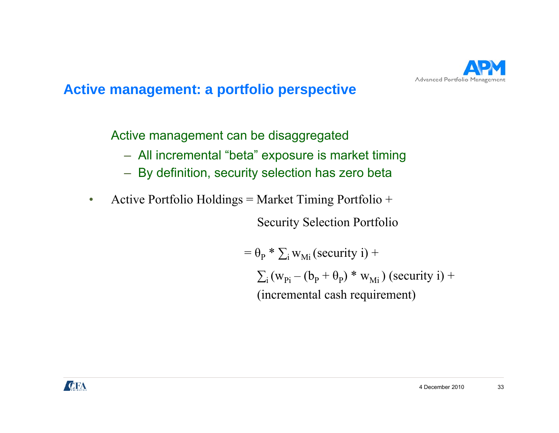

Active management can be disaggregated

- All incremental "beta" exposure is market timing
- By definition, security selection has zero beta
- •Active Portfolio Holdings = Market Timing Portfolio +

Security Selection Portfolio

$$
= \theta_{\rm p} * \sum_{i} w_{\rm Mi} \text{(security i)} +
$$
  

$$
\sum_{i} (w_{\rm Pi} - (b_{\rm p} + \theta_{\rm p}) * w_{\rm Mi}) \text{ (security i)} +
$$
  
(incremental cash requirement)

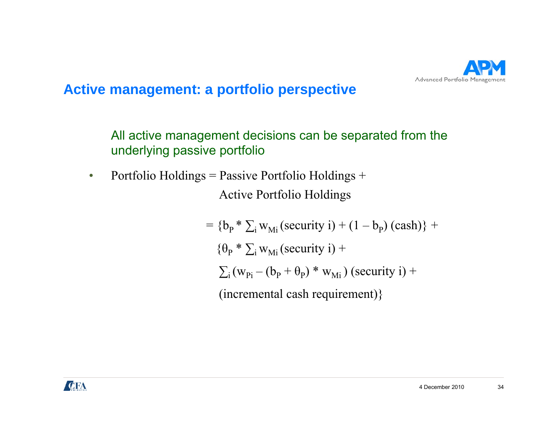

All active management decisions can be separated from the underlying passive portfolio

• Portfolio Holdings = Passive Portfolio Holdings + Active Portfolio Holdings

> $= {\{b_p * \sum_i w_{Mi} (security i) + (1 - b_p) (cash)\} + \}$  $\{\theta_{\rm P} * \sum_{\rm i}$  w<sub>Mi</sub> (security i) +  $\sum_{\rm i} \left({\rm w}_{\rm Pi} - ({\rm b}_{\rm p} + {\rm \theta}_{\rm p})\ast{\rm w}_{\rm Mi}\right)$  (security i) + (incremental cash requirement)}

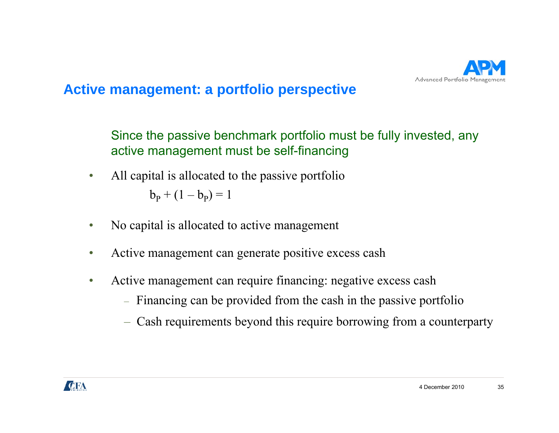

Since the passive benchmark portfolio must be fully invested, any active management must be self-financing

- $\bullet$  All capital is allocated to the passive portfolio  $b_p + (1 - b_p) = 1$
- $\bullet$ No capital is allocated to active management
- •Active management can generate positive excess cash
- • Active management can require financing: negative excess cash
	- Financing can be provided from the cash in the passive portfolio
	- Cash requirements beyond this require borrowing from a counterparty

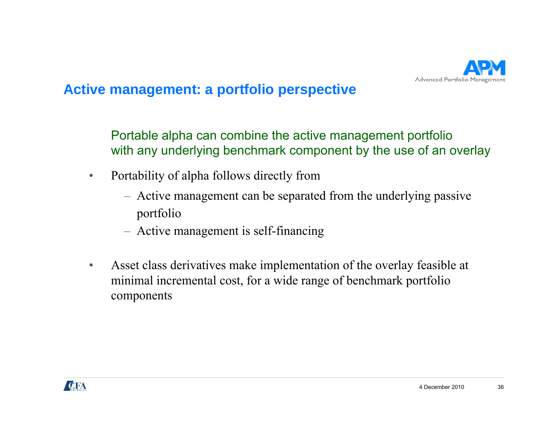

Portable alpha can combine the active management portfolio with any underlying benchmark component by the use of an overlay

- $\bullet$  Portability of alpha follows directly from
	- Active management can be separated from the underlying passive portfolio
	- Active management is self-financing
- $\bullet$  Asset class derivatives make implementation of the overlay feasible at minimal incremental cost, for a wide range of benchmark portfolio components

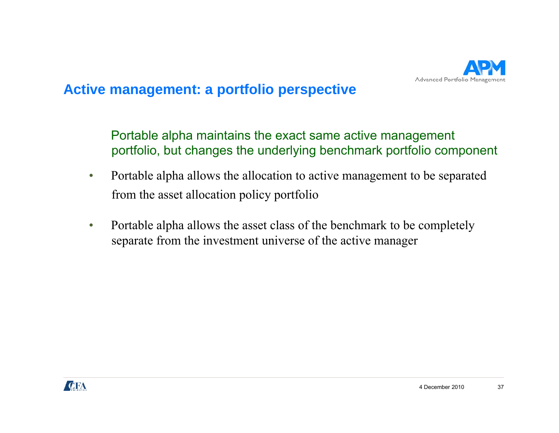

Portable alpha maintains the exact same active management portfolio, but changes the underlying benchmark portfolio component

- $\bullet$  Portable alpha allows the allocation to active management to be separated from the asset allocation policy portfolio
- $\bullet$  Portable alpha allows the asset class of the benchmark to be completely separate from the investment universe of the active manager

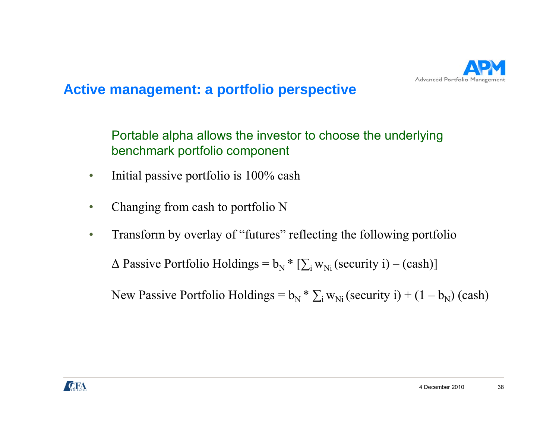

Portable alpha allows the investor to choose the underlying benchmark portfolio component

- •Initial passive portfolio is 100% cash
- •Changing from cash to portfolio N
- $\bullet$ Transform by overlay of "futures" reflecting the following portfolio

 $\Delta$  Passive Portfolio Holdings =  $b_N$  \* [ $\sum_i w_{Ni}$  (security i) – (cash)]

New Passive Portfolio Holdings =  $b_N$ w Passive Portfolio Holdings =  $b_N * \sum_i w_{Ni}$  (security i) + (1 –  $b_N$ ) (cash)

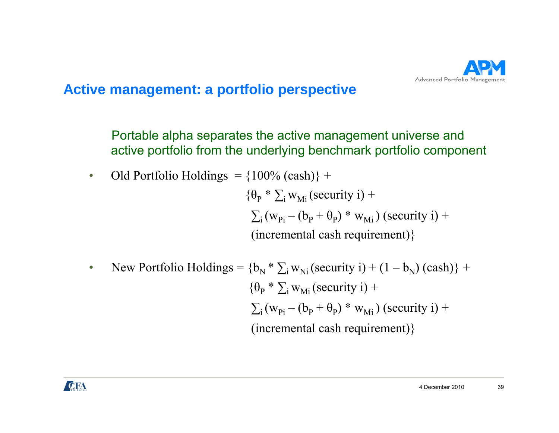

Portable alpha separates the active management universe and active portfolio from the underlying benchmark portfolio component

• Old Portfolio Holdings = 
$$
\{100\% \text{ (cash)}\} +
$$

 $\{\theta_{\rm p} * \sum_{\rm i}$  w<sub>Mi</sub> (security i) +  $\sum_{\rm i} \left({\rm w}_{\rm Pi} - ({\rm b}_{\rm p} + {\rm \theta}_{\rm p})\ast{\rm w}_{\rm Mi}\right)$  (security i) + (incremental cash requirement)}

• New Portfolio Holdings = 
$$
{b_N * \sum_i w_{Ni} (security i) + (1 - b_N) (cash)} +
$$
  
\n ${\theta_P * \sum_i w_{Mi} (security i) +}$   
\n $\sum_i (w_{Pi} - (b_P + \theta_P) * w_{Mi}) (security i) +$   
\n(incremental cash requirement) ${}$ 

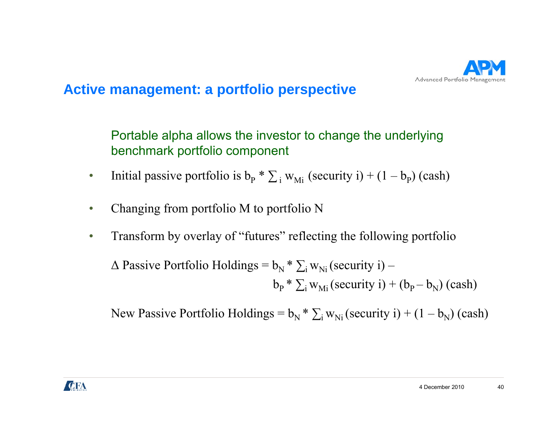

Portable alpha allows the investor to change the underlying benchmark portfolio component

- $\bullet$ • Initial passive portfolio is  $b_P * \sum_i w_{Mi}$  (security i) + (1 –  $b_P$ ) (cash)
- $\bullet$ Changing from portfolio M to portfolio N
- •Transform by overlay of "futures" reflecting the following portfolio

$$
\Delta \text{ Passive Portfolio Holdings} = b_N * \sum_{i} w_{Ni} \text{(security i)} - b_P * \sum_{i} w_{Mi} \text{(security i)} + (b_P - b_N) \text{(cash)}
$$

New Passive Portfolio Holdings =  $b_N * \sum_i w_{Ni}$  (security i) + (1 –  $b_N$ ) (cash)

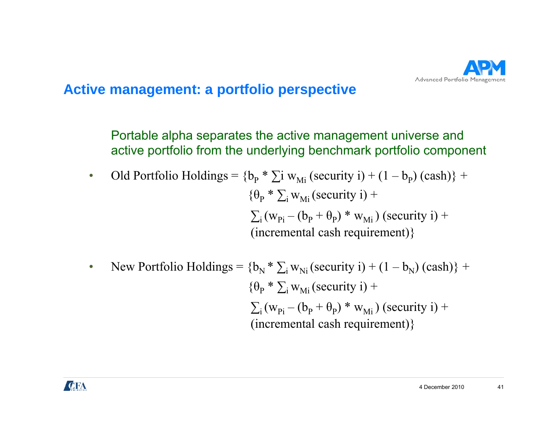

Portable alpha separates the active management universe and active portfolio from the underlying benchmark portfolio component

• Old Portfolio Holdings = 
$$
{b_p * \sum i w_{Mi} (security i) + (1 - b_p) (cash)} +
$$
  
\n ${\theta_p * \sum_i w_{Mi} (security i) +}$   
\n $\sum_i (w_{Pi} - (b_p + \theta_p) * w_{Mi}) (security i) +$   
\n(incremental cash requirement)\n}

• New Portfolio Holdings = 
$$
{b_N * \sum_i w_{Ni} (security i) + (1 - b_N) (cash)} +
$$
  
\n ${\theta_P * \sum_i w_{Mi} (security i) +}$   
\n $\sum_i (w_{Pi} - (b_P + \theta_P) * w_{Mi}) (security i) +$   
\n(incremental cash requirement)\n}

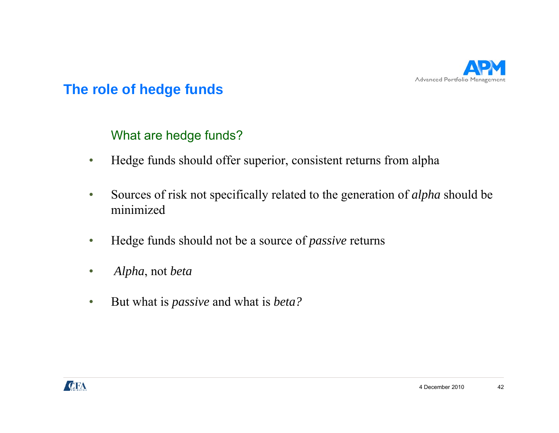

# What are hedge funds?

- •Hedge funds should offer superior, consistent returns from alpha
- • Sources of risk not specifically related to the generation of *alpha* should be minimized
- •Hedge funds should not be <sup>a</sup> source of *passive* returns
- $\bullet$ *Alpha*, not *beta*
- •**8** But what is *passive* and what is *beta?*

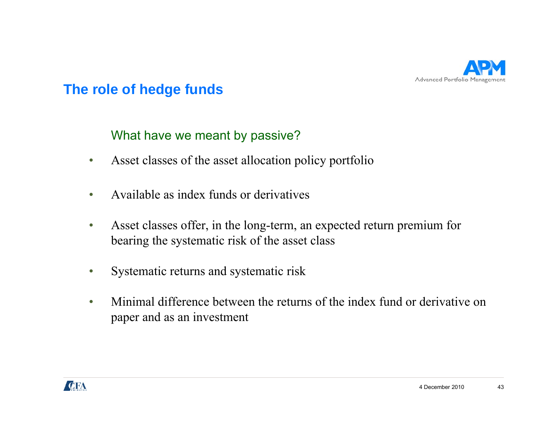

### What have we meant by passive?

- •Asset classes of the asset allocation policy portfolio
- •Available as index funds or derivatives
- $\bullet$  Asset classes offer, in the long-term, an expected return premium for bearing the systematic risk of the asset class
- •Systematic returns and systematic risk
- $\bullet$ Minimal difference between the returns of the index fund or derivative on paper and as an investment

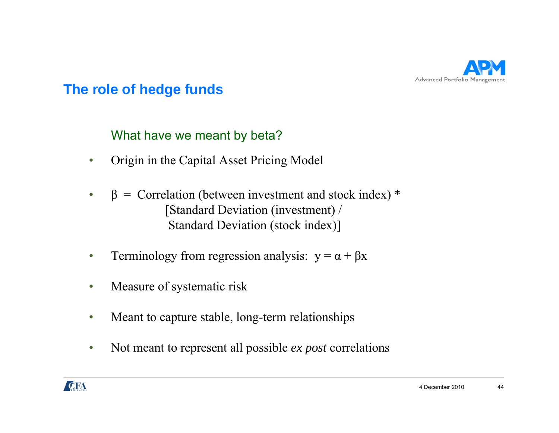

### What have we meant by beta?

- •Origin in the Capital Asset Pricing Model
- • $β =$  Correlation (between investment and stock index) \* [Standard Deviation (investment) / Standard Deviation (stock index)]
- •Terminology from regression analysis:  $y = \alpha + \beta x$
- $\bullet$ Measure of systematic risk
- $\bullet$ Meant to capture stable, long-term relationships
- •• Not meant to represent all possible *ex post* correlations

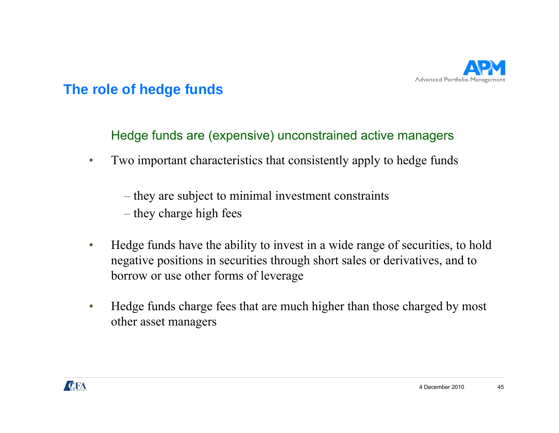

Hedge funds are (expensive) unconstrained active managers

•Two important characteristics that consistently apply to hedge funds

– they are subject to minimal investment constraints

- they charge high fees
- •Hedge funds have the ability to invest in a wide range of securities, to hold negative positions in securities through short sales or derivatives, and to borrow or use other forms of leverage
- • Hedge funds charge fees that are much higher than those charged by most other asset managers

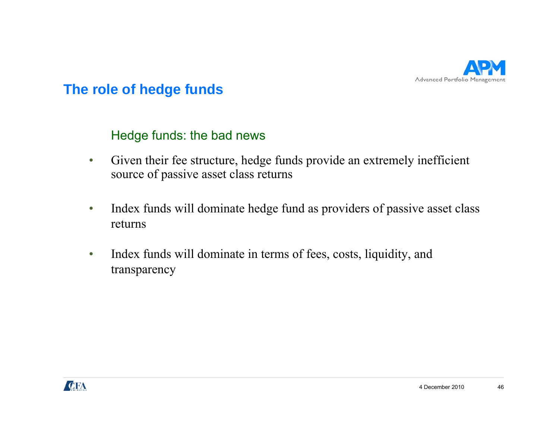

#### Hedge funds: the bad news

- • Given their fee structure, hedge funds provide an extremely inefficient source of passive asset class returns
- $\bullet$  Index funds will dominate hedge fund as providers of passive asset class returns
- $\bullet$  Index funds will dominate in terms of fees, costs, liquidity, and transparency

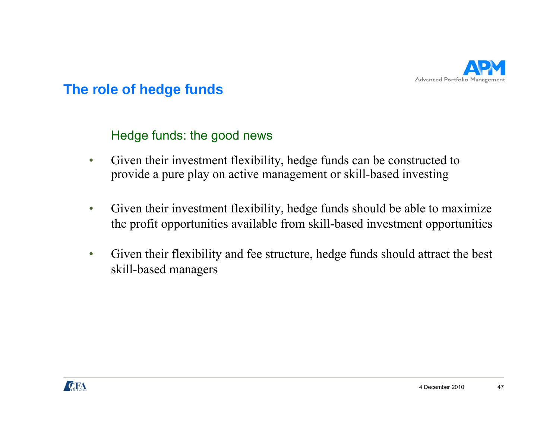

### Hedge funds: the good news

- • Given their investment flexibility, hedge funds can be constructed to provide a pure play on active management or skill-based investing
- $\bullet$  Given their investment flexibility, hedge funds should be able to maximize the profit opportunities available from skill-based investment opportunities
- • Given their flexibility and fee structure, hedge funds should attract the best skill-based managers

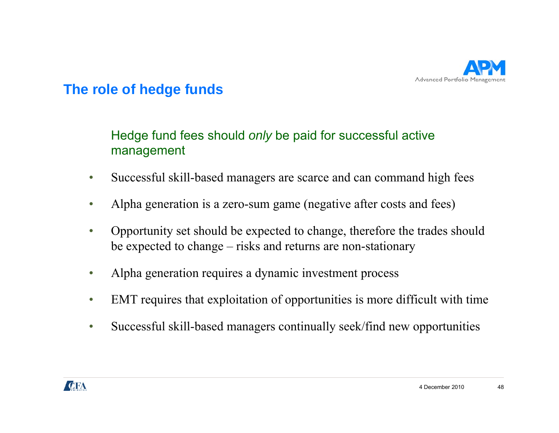

# Hedge fund fees should *only* be paid for successful active management

- •Successful skill-based managers are scarce and can command high fees
- •Alpha generation is a zero-sum game (negative after costs and fees)
- • Opportunity set should be expected to change, therefore the trades should be expected to change – risks and returns are non-stationary
- •Alpha generation requires a dynamic investment process
- •EMT requires that exploitation of opportunities is more difficult with time
- $\bullet$ Successful skill-based managers continually seek/find new opportunities

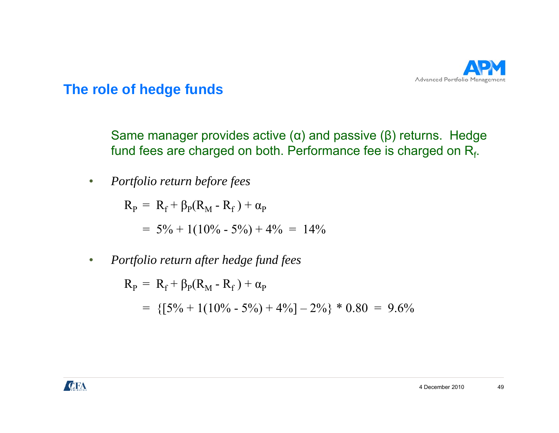

Same manager provides active ( $\alpha$ ) and passive ( $\beta$ ) returns. Hedge fund fees are charged on both. Performance fee is charged on  $R_f$ .

•*Portfolio return before fees*

 $\rm R_p \, = \, R_f + \beta_p(R_M$  -  $R_f$  ) +  $\alpha_p$ 

 $= 5\% + 1(10\% - 5\%) + 4\% = 14\%$ 

 $\bullet$ *Portfolio return after hedge fund fees*

> $\rm R_P \, = \, R_f + \beta_P(R_M$  -  $R_f$  ) +  $\alpha_P$  $= \{ [5\% + 1(10\% - 5\%) + 4\% ] - 2\% \} * 0.80 = 9.6\%$

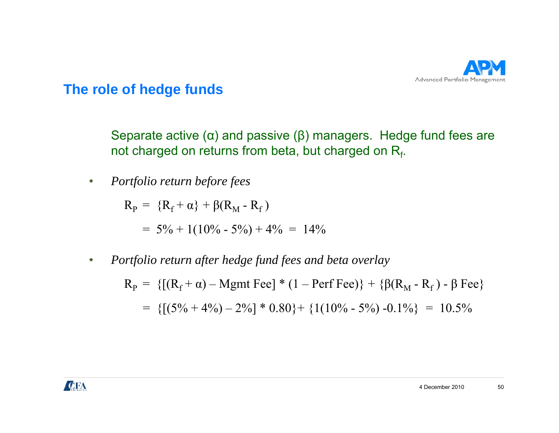

Separate active ( $\alpha$ ) and passive ( $\beta$ ) managers. Hedge fund fees are not charged on returns from beta, but charged on  $R_f$ .

•*Portfolio return before fees*

 $R_{\rm p} = \{R_{\rm f} + \alpha\} + \beta(R_{\rm M} - R_{\rm f})$ 

 $= 5\% + 1(10\% - 5\%) + 4\% = 14\%$ 

 $\bullet$ *Portfolio return after hedge fund fees and beta overlay*

> $R_P = \{[(R_f + \alpha) - Mgmt \, \text{Fee}] * (1 - \text{Perf} \, \text{Fee})\} + \{\beta(R_M - R_f) - \beta \, \text{Fee}\}$  $= \{[(5\% + 4\%) - 2\%] * 0.80\} + \{1(10\% - 5\%) - 0.1\% \} = 10.5\%$

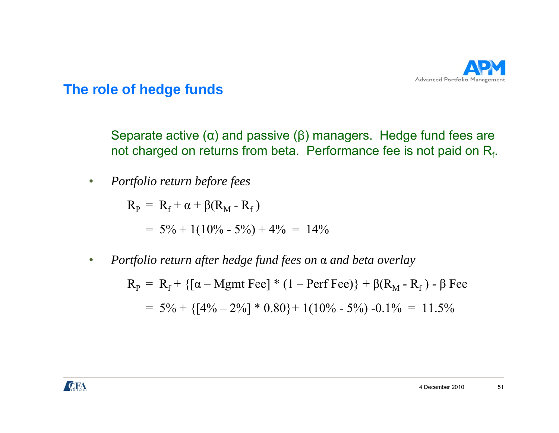

Separate active ( $\alpha$ ) and passive ( $\beta$ ) managers. Hedge fund fees are not charged on returns from beta. Performance fee is not paid on  $R_f$ .

 $\bullet$ *Portfolio return before fees*

 $R_{\rm p} = R_{\rm f} + \alpha + \beta (R_{\rm M} - R_{\rm f})$ 

$$
= 5\% + 1(10\% - 5\%) + 4\% = 14\%
$$

 $\bullet$ *Portfolio return after hedge fund fees on* <sup>α</sup> *and beta overlay*

> $R_P = R_f + \{ [\alpha - {\rm Mgmt\,} \, {\rm Fee}] * (1 - {\rm Perf\,} \, {\rm Fee}) \} + \beta (R_M - R_f)$  -  $\beta$  Fee  $= 5\% + \{[4\% - 2\%] * 0.80\} + 1(10\% - 5\%) - 0.1\% = 11.5\%$

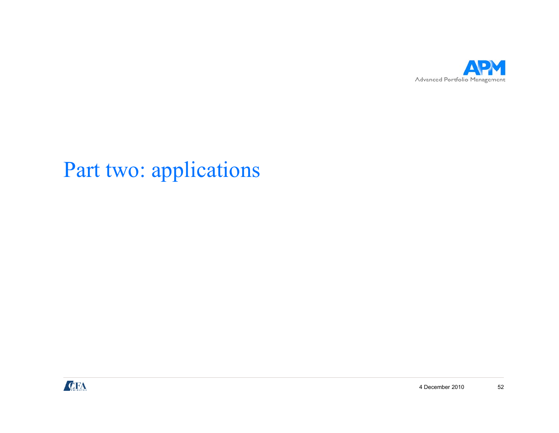

# Part two: applications

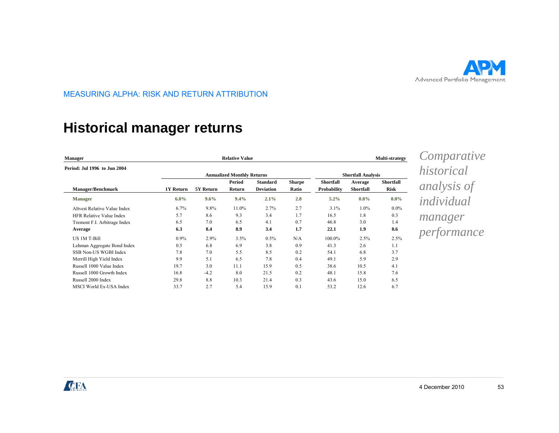

### **Historical manager returns g**

| <b>Manager</b>                      |           |           | <b>Multi-strategy</b>             |                                     |                        |                                 |                             |                                 |  |
|-------------------------------------|-----------|-----------|-----------------------------------|-------------------------------------|------------------------|---------------------------------|-----------------------------|---------------------------------|--|
| Period: Jul 1996 to Jun 2004        |           |           |                                   |                                     |                        |                                 |                             |                                 |  |
|                                     |           |           | <b>Annualized Monthly Returns</b> |                                     |                        |                                 | <b>Shortfall Analysis</b>   |                                 |  |
| <b>Manager/Benchmark</b>            | 1Y Return | 5Y Return | Period<br>Return                  | <b>Standard</b><br><b>Deviation</b> | <b>Sharpe</b><br>Ratio | <b>Shortfall</b><br>Probability | Average<br><b>Shortfall</b> | <b>Shortfall</b><br><b>Risk</b> |  |
| <b>Manager</b>                      | $6.0\%$   | 9.6%      | 9.4%                              | 2.1%                                | 2.8                    | $5.2\%$                         | $0.8\%$                     | $0.0\%$                         |  |
| <b>Altvest Relative Value Index</b> | 6.7%      | 9.8%      | 11.0%                             | 2.7%                                | 2.7                    | 3.1%                            | $1.0\%$                     | $0.0\%$                         |  |
| <b>HFR Relative Value Index</b>     | 5.7       | 8.6       | 9.3                               | 3.4                                 | 1.7                    | 16.5                            | 1.8                         | 0.3                             |  |
| Tremont F.I. Arbitrage Index        | 6.5       | 7.0       | 6.5                               | 4.1                                 | 0.7                    | 46.8                            | 3.0                         | 1.4                             |  |
| Average                             | 6.3       | 8.4       | 8.9                               | 3.4                                 | 1.7                    | 22.1                            | 1.9                         | 0.6                             |  |
| <b>US 1M T-Bill</b>                 | $0.9\%$   | 2.9%      | 3.5%                              | $0.5\%$                             | N/A                    | 100.0%                          | 2.5%                        | 2.5%                            |  |
| Lehman Aggregate Bond Index         | 0.5       | 6.8       | 6.9                               | 3.8                                 | 0.9                    | 41.3                            | 2.6                         | 1.1                             |  |
| SSB Non-US WGBI Index               | 7.8       | 7.0       | 5.5                               | 8.5                                 | 0.2                    | 54.1                            | 6.8                         | 3.7                             |  |
| Merrill High Yield Index            | 9.9       | 5.1       | 6.5                               | 7.8                                 | 0.4                    | 49.1                            | 5.9                         | 2.9                             |  |
| Russell 1000 Value Index            | 19.7      | 3.0       | 11.1                              | 15.9                                | 0.5                    | 38.6                            | 10.5                        | 4.1                             |  |
| Russell 1000 Growth Index           | 16.8      | $-4.2$    | 8.0                               | 21.5                                | 0.2                    | 48.1                            | 15.8                        | 7.6                             |  |
| Russell 2000 Index                  | 29.8      | 8.8       | 10.3                              | 21.4                                | 0.3                    | 43.6                            | 15.0                        | 6.5                             |  |
| <b>MSCI World Ex-USA Index</b>      | 33.7      | 2.7       | 5.4                               | 15.9                                | 0.1                    | 53.2                            | 12.6                        | 6.7                             |  |

*Comparative historical analysis of individual manager performance* 

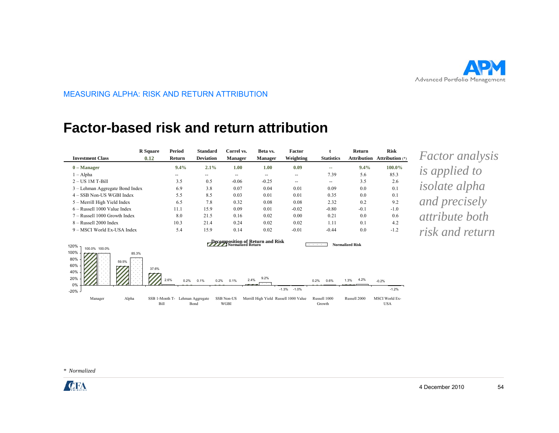

#### **Factor-based risk and return attribution**

| <b>Investment Class</b>                                       | <b>R</b> Square<br>0.12 | <b>Period</b><br>Return          | <b>Standard</b><br><b>Deviation</b> | Correl vs.<br><b>Manager</b>     | Beta vs.<br><b>Manager</b>            | Factor<br>Weighting | <b>Statistics</b>                | Return                 | <b>Risk</b><br><b>Attribution Attribution</b> (*) | <i>Factor analysis</i> |
|---------------------------------------------------------------|-------------------------|----------------------------------|-------------------------------------|----------------------------------|---------------------------------------|---------------------|----------------------------------|------------------------|---------------------------------------------------|------------------------|
| $0$ – Manager<br>$1 - Alpha$                                  |                         | 9.4%<br>$\overline{\phantom{a}}$ | 2.1%<br>$\overline{\phantom{a}}$    | 1.00<br>$\overline{\phantom{a}}$ | 1.00<br>$\sim$ $\sim$                 | 0.09<br>$\sim$      | ۰.<br>7.39                       | 9.4%<br>5.6            | 100.0%<br>85.3                                    | <i>is applied to</i>   |
| $2 - US$ 1M T-Bill<br>3 – Lehman Aggregate Bond Index         |                         | 3.5<br>6.9                       | 0.5<br>3.8                          | $-0.06$<br>0.07                  | $-0.25$<br>0.04                       | $\sim$<br>0.01      | $\overline{\phantom{a}}$<br>0.09 | 3.5<br>0.0             | 2.6<br>0.1                                        | <i>isolate alpha</i>   |
| 4 - SSB Non-US WGBI Index<br>5 – Merrill High Yield Index     |                         | 5.5<br>6.5                       | 8.5<br>7.8                          | 0.03<br>0.32                     | 0.01<br>0.08                          | 0.01<br>0.08        | 0.35<br>2.32                     | 0.0<br>0.2             | 0.1<br>9.2                                        | and precisely          |
| 6 - Russell 1000 Value Index<br>7 - Russell 1000 Growth Index |                         | 11.1<br>8.0                      | 15.9<br>21.5                        | 0.09<br>0.16                     | 0.01<br>0.02                          | $-0.02$<br>0.00     | $-0.80$<br>0.21                  | $-0.1$<br>0.0          | $-1.0$<br>0.6                                     | <i>attribute both</i>  |
| 8 - Russell 2000 Index<br>9 – MSCI World Ex-USA Index         |                         | 10.3<br>5.4                      | 21.4<br>15.9                        | 0.24<br>0.14                     | 0.02<br>0.02                          | 0.02<br>$-0.01$     | 1.11<br>$-0.44$                  | 0.1<br>0.0             | 4.2<br>$-1.2$                                     | risk and return        |
| 120%<br>100.0% 100.0%<br>100%<br>85.3%<br>80%<br>59.5%<br>60% | .                       |                                  |                                     |                                  | Decomposition of Return and Risk      |                     |                                  | <b>Normalized Risk</b> |                                                   |                        |
| 40%<br>20%<br>0%<br>$-20\%$ -                                 | 37.6%                   | 2.6%<br>0.2%                     | 0.1%<br>0.2%                        | 0.1%                             | 9.2%<br>2.4%                          | $-1.3\% -1.0\%$     | 0.2%<br>0.6%                     | 4.2%<br>1.3%           | $-0.2%$<br>$-1.2%$                                |                        |
| Manager<br>Alpha                                              | Bill                    | SSB 1-Month T- Lehman Aggregate  | Bond                                | SSB Non-US<br><b>WGBI</b>        | Merrill High Yield Russell 1000 Value |                     | Russell 1000<br>Growth           | Russell 2000           | <b>MSCI</b> World Ex-<br><b>USA</b>               |                        |

*\* Normalized*

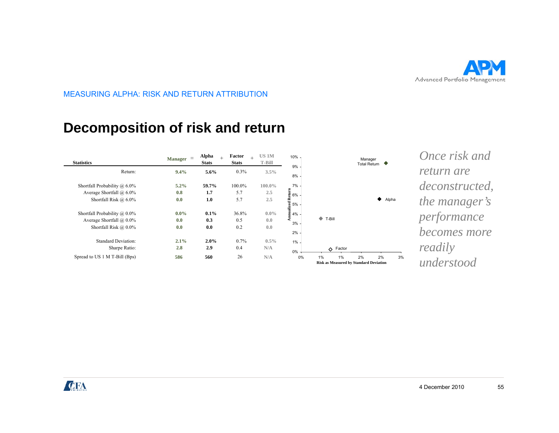

### **Decomposition of risk and return p**

| <b>Statistics</b>                | $=$<br><b>Manager</b> | <b>Alpha</b><br>$+$<br><b>Stats</b> | Factor<br>$+$<br><b>Stats</b> | US <sub>1</sub> M<br>T-Bill | 10% -<br>9%                                                                  |                                                              | Manager<br><b>Total Return</b> | ♥     |    |
|----------------------------------|-----------------------|-------------------------------------|-------------------------------|-----------------------------|------------------------------------------------------------------------------|--------------------------------------------------------------|--------------------------------|-------|----|
| Return:                          | 9.4%                  | 5.6%                                | 0.3%                          | $3.5\%$                     | 8%                                                                           |                                                              |                                |       |    |
| Shortfall Probability $(a)$ 6.0% | 5.2%                  | 59.7%                               | 100.0%                        | 100.0%                      | 7%                                                                           |                                                              |                                |       |    |
| Average Shortfall $(a)$ 6.0%     | 0.8                   | 1.7                                 | 5.7                           | 2.5                         | $6\%$                                                                        |                                                              |                                |       |    |
| Shortfall Risk @ 6.0%            | 0.0                   | 1.0                                 | 5.7                           | 2.5                         | Annualized Return<br>$\frac{4}{5}$ $\frac{6}{5}$ $\frac{6}{5}$ $\frac{1}{5}$ |                                                              |                                | Alpha |    |
| Shortfall Probability $(a)$ 0.0% | $0.0\%$               | $0.1\%$                             | 36.8%                         | $0.0\%$                     |                                                                              |                                                              |                                |       |    |
| Average Shortfall $@$ 0.0%       | 0.0                   | 0.3                                 | 0.5                           | 0.0                         | 3%                                                                           | ۰<br>T-Bill                                                  |                                |       |    |
| Shortfall Risk @ 0.0%            | 0.0                   | 0.0                                 | 0.2                           | 0.0                         | 2%                                                                           |                                                              |                                |       |    |
| <b>Standard Deviation:</b>       | 2.1%                  | 2.0%                                | 0.7%                          | $0.5\%$                     | $1\%$ -                                                                      |                                                              |                                |       |    |
| Sharpe Ratio:                    | 2.8                   | 2.9                                 | 0.4                           | N/A                         | $0\%$                                                                        | Factor<br>♦                                                  |                                |       |    |
| Spread to US 1 M T-Bill (Bps)    | 586                   | 560                                 | 26                            | N/A                         | 0%                                                                           | $1\%$<br>1%<br><b>Risk as Measured by Standard Deviation</b> | 2%                             | 2%    | 3% |

*Once risk and return are deconstructed deconstructed, the manager's performance becomes more readily understood*

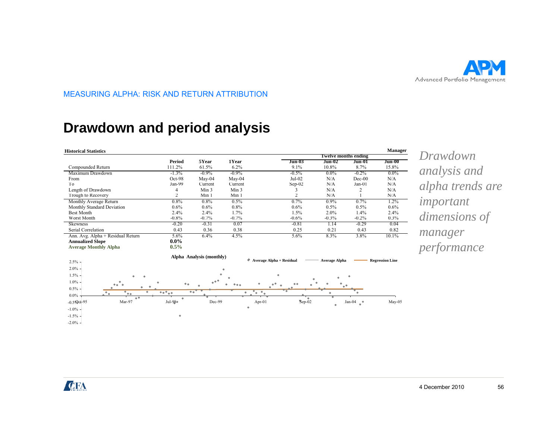

### **Drawdown and period analysis p y**



*Drawdown analysis and alpha trends are important dimensions of manager* 

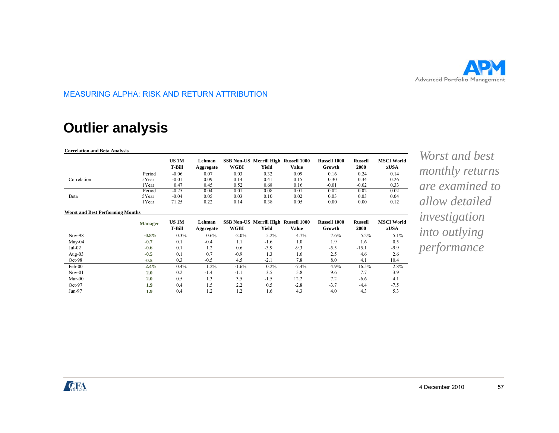

# **Outlier analysis**

**Worst and Best Performing Months**

| <b>Correlation and Beta Analysis</b> |        |                               |                     |             |                                                      |       |                               |                        |                                  |
|--------------------------------------|--------|-------------------------------|---------------------|-------------|------------------------------------------------------|-------|-------------------------------|------------------------|----------------------------------|
|                                      |        | <b>US 1M</b><br><b>T-Bill</b> | Lehman<br>Aggregate | <b>WGBI</b> | <b>SSB Non-US Merrill High Russell 1000</b><br>Yield | Value | <b>Russell 1000</b><br>Growth | <b>Russell</b><br>2000 | <b>MSCI World</b><br><b>xUSA</b> |
| Correlation                          | Period | $-0.06$                       | 0.07                | 0.03        | 0.32                                                 | 0.09  | 0.16                          | 0.24                   | 0.14                             |
|                                      | 5Year  | $-0.01$                       | 0.09                | 0.14        | 0.41                                                 | 0.15  | 0.30                          | 0.34                   | 0.26                             |
| Beta                                 | l Year | 0.47                          | 0.45                | 0.52        | 0.68                                                 | 0.16  | $-0.01$                       | $-0.02$                | 0.33                             |
|                                      | Period | $-0.25$                       | 0.04                | 0.01        | 0.08                                                 | 0.01  | 0.02                          | 0.02                   | 0.02                             |
|                                      | 5Year  | $-0.04$                       | 0.05                | 0.03        | 0.10                                                 | 0.02  | 0.03                          | 0.03                   | 0.04                             |
|                                      | 1 Year | 71.25                         | 0.22                | 0.14        | 0.38                                                 | 0.05  | 0.00                          | 0.00                   | 0.12                             |

|           | <b>Manager</b> | US 1M   | Lehman    |          | SSB Non-US Merrill High Russell 1000 |         | <b>Russell 1000</b> | <b>Russell</b> | <b>MSCI World</b> | investigation        |
|-----------|----------------|---------|-----------|----------|--------------------------------------|---------|---------------------|----------------|-------------------|----------------------|
|           |                | T-Bill  | Aggregate | WGBI     | Yield                                | Value   | Growth              | <b>2000</b>    | xUSA              |                      |
| $Nov-98$  | $-0.8%$        | $0.3\%$ | 0.6%      | $-2.0\%$ | 5.2%                                 | 4.7%    | 7.6%                | $5.2\%$        | 5.1%              | <i>into outlying</i> |
| $M$ ay-04 | $-0.7$         | 0.1     | $-0.4$    | 1.1      | $-1.6$                               | 1.0     | 1.9                 | 1.6            | 0.5               |                      |
| $Jul-02$  | $-0.6$         | 0.1     | 1.2       | 0.6      | $-3.9$                               | $-9.3$  | $-5.5$              | $-15.1$        | $-9.9$            | performance          |
| Aug- $03$ | $-0.5$         | 0.1     | 0.7       | $-0.9$   | 1.3                                  | 1.6     | 2.5                 | 4.6            | 2.6               |                      |
| $Oct-98$  | $-0.5$         | 0.3     | $-0.5$    | 4.5      | $-2.1$                               | 7.8     | 8.0                 | 4.1            | 10.4              |                      |
| Feb-00    | 2.4%           | 0.4%    | 1.2%      | $-1.6%$  | 0.2%                                 | $-7.4%$ | 4.9%                | 16.5%          | 2.8%              |                      |
| $Nov-01$  | 2.0            | 0.2     | $-1.4$    | $-1.1$   | 3.5                                  | 5.8     | 9.6                 | 7.7            | 3.9               |                      |
| $Mar-00$  | 2.0            | 0.5     | 1.3       | 3.5      | $-1.5$                               | 12.2    | 7.2                 | $-6.6$         | 4.1               |                      |
| $Oct-97$  | 1.9            | 0.4     | 1.5       | 2.2      | 0.5                                  | $-2.8$  | $-3.7$              | $-4.4$         | $-7.5$            |                      |
| Jun-97    | 1.9            | 0.4     | 1.2       | 1.2      | 1.6                                  | 4.3     | 4.0                 | 4.3            | 5.3               |                      |

*Worst and best monthly returns are examined to allow detailed investigation into outlying* 

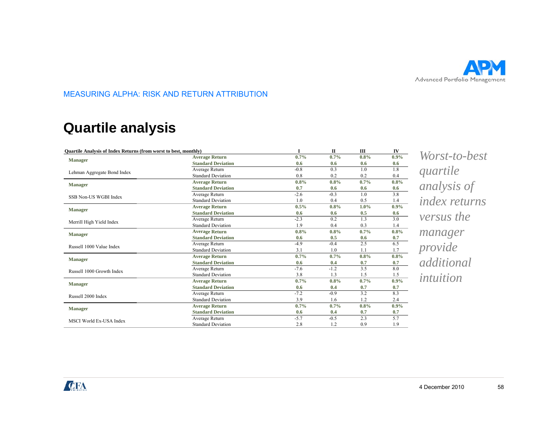

# **Quartile analysis y**

| Quartile Analysis of Index Returns (from worst to best, monthly) |                                  |         | $\mathbf{I}$ | Ш       | IV   |
|------------------------------------------------------------------|----------------------------------|---------|--------------|---------|------|
| <b>Manager</b>                                                   | <b>Average Return</b>            | $0.7\%$ | 0.7%         | 0.8%    | 0.9% |
|                                                                  | <b>Standard Deviation</b>        | 0.6     | 0.6          | 0.6     | 0.6  |
| Lehman Aggregate Bond Index                                      | Average Return                   | $-0.8$  | 0.3          | 1.0     | 1.8  |
|                                                                  | <b>Standard Deviation</b>        | 0.8     | 0.2          | 0.2     | 0.4  |
| <b>Manager</b>                                                   | <b>Average Return</b>            | $0.8\%$ | 0.8%         | 0.7%    | 0.8% |
|                                                                  | <b>Standard Deviation</b>        | 0.7     | 0.6          | 0.6     | 0.6  |
| SSB Non-US WGBI Index                                            | Average Return                   | $-2.6$  | $-0.3$       | 1.0     | 3.8  |
|                                                                  | <b>Standard Deviation</b>        | 1.0     | 0.4          | 0.5     | 1.4  |
| <b>Manager</b>                                                   | <b>Average Return</b>            | 0.5%    | 0.8%         | $1.0\%$ | 0.9% |
|                                                                  | <b>Standard Deviation</b>        | 0.6     | 0.6          | 0.5     | 0.6  |
| Merrill High Yield Index                                         | Average Return                   | $-2.3$  | 0.2          | 1.3     | 3.0  |
|                                                                  | <b>Standard Deviation</b><br>1.9 |         | 0.4          | 0.3     | 1.4  |
| <b>Manager</b>                                                   | <b>Average Return</b>            | $0.8\%$ | 0.8%         | 0.7%    | 0.8% |
|                                                                  | <b>Standard Deviation</b>        | 0.6     | 0.5          | 0.6     | 0.7  |
| Russell 1000 Value Index                                         | Average Return                   | $-4.9$  | $-0.4$       | 2.5     | 6.5  |
|                                                                  | <b>Standard Deviation</b>        | 3.1     | 1.0          | 1.1     | 1.7  |
| <b>Manager</b>                                                   | <b>Average Return</b>            | $0.7\%$ | 0.7%         | 0.8%    | 0.8% |
|                                                                  | <b>Standard Deviation</b>        | 0.6     | 0.4          | 0.7     | 0.7  |
| Russell 1000 Growth Index                                        | Average Return                   | $-7.6$  | $-1.2$       | 3.5     | 8.0  |
|                                                                  | <b>Standard Deviation</b>        | 3.8     | 1.3          | 1.5     | 1.5  |
| <b>Manager</b>                                                   | <b>Average Return</b>            | $0.7\%$ | 0.8%         | 0.7%    | 0.9% |
|                                                                  | <b>Standard Deviation</b>        | 0.6     | 0.4          | 0.7     | 0.7  |
| Russell 2000 Index                                               | Average Return                   | $-7.2$  | $-0.9$       | 3.2     | 8.3  |
|                                                                  | <b>Standard Deviation</b>        | 3.9     | 1.6          | 1.2     | 2.4  |
| <b>Manager</b>                                                   | <b>Average Return</b>            | $0.7\%$ | 0.7%         | 0.8%    | 0.9% |
|                                                                  | <b>Standard Deviation</b>        | 0.6     | 0.4          | 0.7     | 0.7  |
| MSCI World Ex-USA Index                                          | Average Return                   | $-5.7$  | $-0.5$       | 2.3     | 5.7  |
|                                                                  | <b>Standard Deviation</b>        | 2.8     | 1.2          | 0.9     | 1.9  |

*Worst-to-best quartile analysis of index returns versus the manager provide additional intuition*

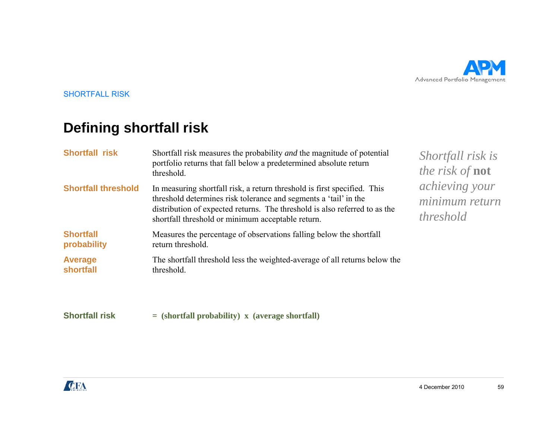

SHORTFALL RISK

# **Defining shortfall risk**

| <b>Shortfall risk</b>           | Shortfall risk measures the probability <i>and</i> the magnitude of potential<br>portfolio returns that fall below a predetermined absolute return<br>threshold.                                                                                                                | Shortfall risk is<br><i>the risk of <b>not</b></i>          |
|---------------------------------|---------------------------------------------------------------------------------------------------------------------------------------------------------------------------------------------------------------------------------------------------------------------------------|-------------------------------------------------------------|
| <b>Shortfall threshold</b>      | In measuring shortfall risk, a return threshold is first specified. This<br>threshold determines risk tolerance and segments a 'tail' in the<br>distribution of expected returns. The threshold is also referred to as the<br>shortfall threshold or minimum acceptable return. | <i>achieving your</i><br>minimum return<br><i>threshold</i> |
| <b>Shortfall</b><br>probability | Measures the percentage of observations falling below the shortfall<br>return threshold.                                                                                                                                                                                        |                                                             |
| <b>Average</b><br>shortfall     | The shortfall threshold less the weighted-average of all returns below the<br>threshold.                                                                                                                                                                                        |                                                             |
| <b>Shortfall risk</b>           | $=$ (shortfall probability) x (average shortfall)                                                                                                                                                                                                                               |                                                             |

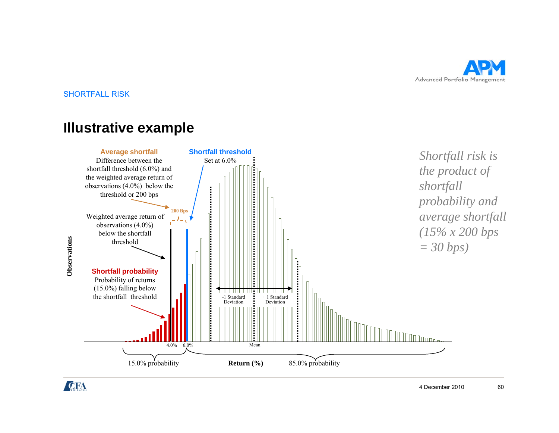

SHORTFALL RISK

### **Illustrative example**



CIFA

4 December 2010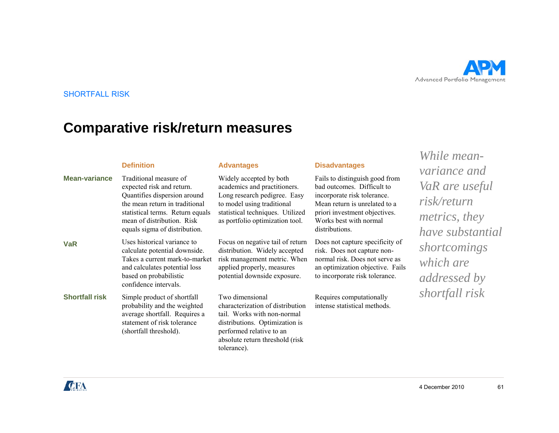

#### SHORTFALL RISK

# **Comparative risk/return measures**

| <b>Mean-variance</b>  | <b>Definition</b><br>Traditional measure of<br>expected risk and return.<br>Quantifies dispersion around<br>the mean return in traditional<br>statistical terms. Return equals<br>mean of distribution. Risk<br>equals sigma of distribution. | <b>Advantages</b><br>Widely accepted by both<br>academics and practitioners.<br>Long research pedigree. Easy<br>to model using traditional<br>statistical techniques. Utilized<br>as portfolio optimization tool. | <b>Disadvantages</b><br>Fails to distinguish good from<br>bad outcomes. Difficult to<br>incorporate risk tolerance.<br>Mean return is unrelated to a<br>priori investment objectives.<br>Works best with normal<br>distributions. | While mean-<br>variance and<br>VaR are useful<br>risk/return<br><i>metrics, they</i><br>have substantial |
|-----------------------|-----------------------------------------------------------------------------------------------------------------------------------------------------------------------------------------------------------------------------------------------|-------------------------------------------------------------------------------------------------------------------------------------------------------------------------------------------------------------------|-----------------------------------------------------------------------------------------------------------------------------------------------------------------------------------------------------------------------------------|----------------------------------------------------------------------------------------------------------|
| <b>VaR</b>            | Uses historical variance to<br>calculate potential downside.<br>Takes a current mark-to-market<br>and calculates potential loss<br>based on probabilistic<br>confidence intervals.                                                            | Focus on negative tail of return<br>distribution. Widely accepted<br>risk management metric. When<br>applied properly, measures<br>potential downside exposure.                                                   | Does not capture specificity of<br>risk. Does not capture non-<br>normal risk. Does not serve as<br>an optimization objective. Fails<br>to incorporate risk tolerance.                                                            | shortcomings<br>which are<br><i>addressed by</i>                                                         |
| <b>Shortfall risk</b> | Simple product of shortfall<br>probability and the weighted<br>average shortfall. Requires a<br>statement of risk tolerance<br>(shortfall threshold).                                                                                         | Two dimensional<br>characterization of distribution<br>tail. Works with non-normal<br>distributions. Optimization is<br>performed relative to an<br>absolute return threshold (risk<br>tolerance).                | Requires computationally<br>intense statistical methods.                                                                                                                                                                          | shortfall risk                                                                                           |

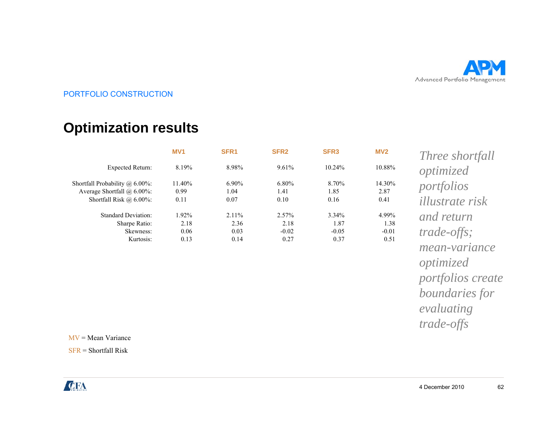

### **Optimization results p**

| MV <sub>1</sub>               | SFR <sub>1</sub>              | SFR <sub>2</sub>                 | SFR <sub>3</sub>                    | MV <sub>2</sub>                  | Three shortfall                                                                                                                     |
|-------------------------------|-------------------------------|----------------------------------|-------------------------------------|----------------------------------|-------------------------------------------------------------------------------------------------------------------------------------|
| 8.19%                         | 8.98%                         | 9.61%                            | 10.24%                              | 10.88%                           | optimized                                                                                                                           |
| 11.40%<br>0.99<br>0.11        | $6.90\%$<br>1.04<br>0.07      | 6.80%<br>1.41<br>0.10            | 8.70%<br>1.85<br>0.16               | 14.30%<br>2.87<br>0.41           | portfolios<br><i>illustrate risk</i>                                                                                                |
| 1.92%<br>2.18<br>0.06<br>0.13 | 2.11%<br>2.36<br>0.03<br>0.14 | 2.57%<br>2.18<br>$-0.02$<br>0.27 | $3.34\%$<br>1.87<br>$-0.05$<br>0.37 | 4.99%<br>1.38<br>$-0.01$<br>0.51 | and return<br>$trade-offs;$<br><i>mean-variance</i><br>optimized<br>portfolios create<br>boundaries for<br>evaluating<br>trade-offs |
|                               |                               |                                  |                                     |                                  |                                                                                                                                     |

MV = Mean Variance

SFR <sup>=</sup> Shortfall Risk

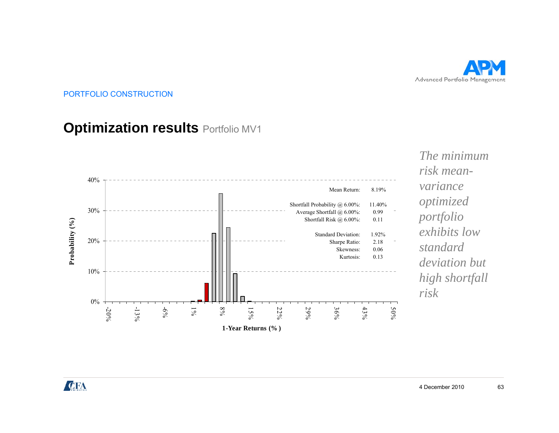

# **Optimization results Portfolio MV1**



*The minimum risk meanvarianceoptimized portfolio exhibits low deviation but high shortfall risk*

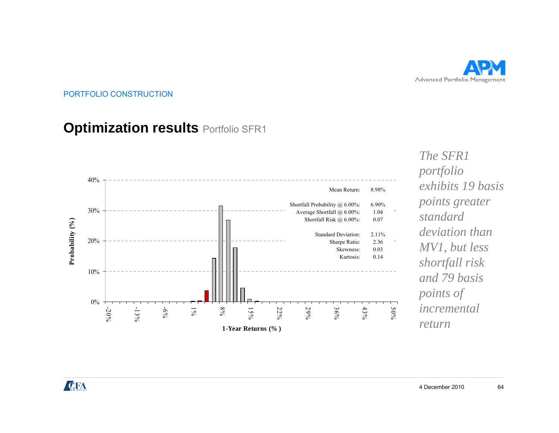

#### **Optimization results** Portfolio SFR1 **p**



*The SFR1 portfolio exhibits 19 basis exhibits points greater standard deviation than shortfall risk and 79 basis points of*  $\ddot{}$ *incremental return*

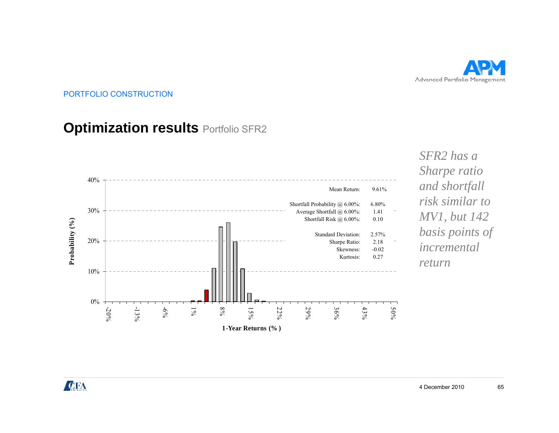

### **Optimization results Portfolio SFR2**



*SFR2 has a Sharpe ratio risk similar to MV1, but 142 basis points of return*

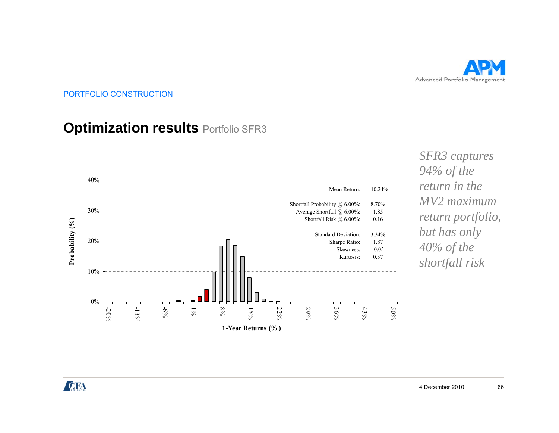

### **Optimization results Portfolio SFR3**



*SFR3 captures 94% of the*   $\sqrt{2}$ *MV2 maximum return portfolio, but has only*   $shortfall$  risk

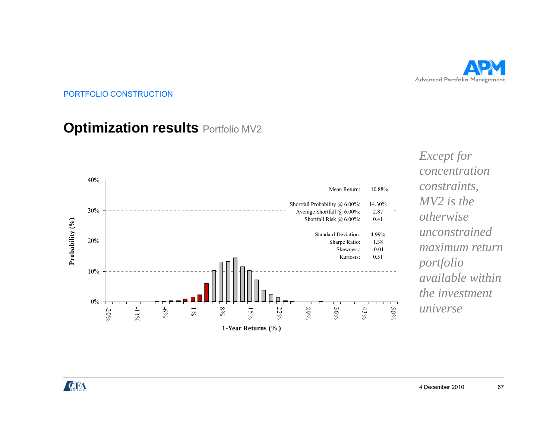

#### **Optimization results** Portfolio MV2 **p**



*Except for concentration constraints constraints, MV2 is the otherwise unconstrained imaximum return portfolio available within the investment universe*

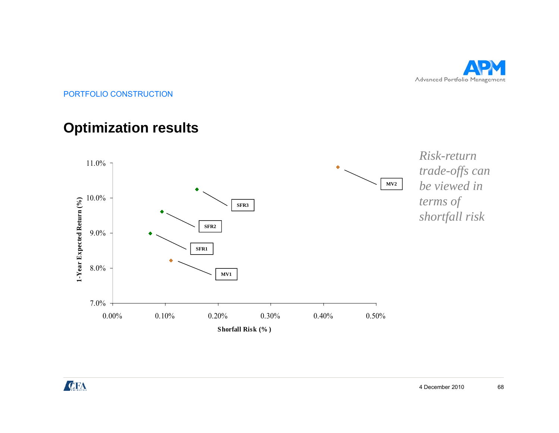

### **Optimization results p**



**CFA**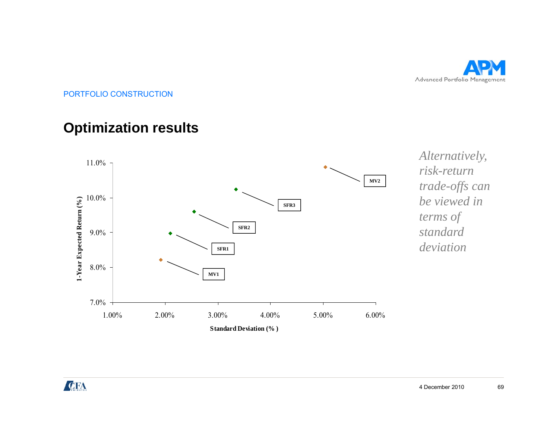

# **Optimization results p**



*Alternatively, risk-return trade-offs can trade offs be viewed in terms of standard* 

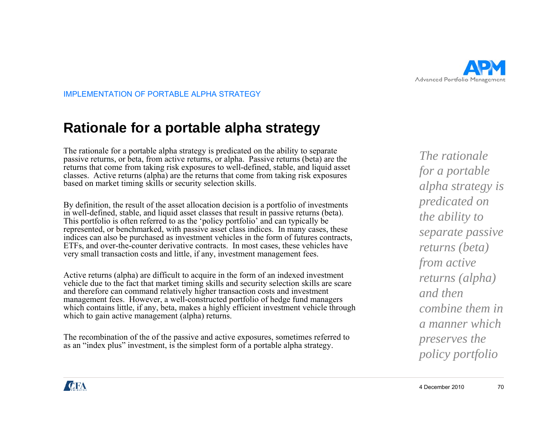

IMPLEMENTATION OF PORTABLE ALPHA STRATEGY

### **Rationale for a portable alpha strategy p p gy**

The rationale for a portable alpha strategy is predicated on the ability to separate passive returns, or beta, from active returns, or alpha. Passive returns (beta) are the returns that come from taking risk exposures to well-defined, stable, and liquid asset classes. Active returns (alpha) are the returns that come from taking risk exposures based on market timing skills or security selection skills.

By definition, the result of the asset allocation decision is a portfolio of investments in well-defined, stable, and liquid asset classes that result in passive returns (beta). This portfolio is often referred to as the 'policy portfolio' and can typically be represented, or benchmarked, with passive asset class indices. In many cases, these indices can also be purchased as investment vehicles in the form of futures contracts, ETFs, and over-the-counter derivative contracts. In most cases, these vehicles have d over-the-counter derivative contracts. In most cases, these vehicles have *returns (beta)*<br>Il transaction costs and little, if any, investment management fees. from active very small transaction costs and little, if any, investment management fees.

Active returns (alpha) are difficult to acquire in the form of an indexed investment vehicle due to the fact that market timing skills and security selection skills are scare and therefore can command relatively higher transaction costs and investment management fees. However, a well-constructed portfolio of hedge fund managers which contains little, if any, beta, makes a highly efficient investment vehicle through which to gain active management (alpha) returns.

The recombination of the of the passive and active exposures, sometimes referred to as an "index plus" investment, is the simplest form of a portable alpha strategy.

*The rationale for a portable alpha strategy is predicated on the ability to separate passive returns* (*beta*) *returns (alpha) and then combine them in a manner which preserves the li tf li policy portfolio*

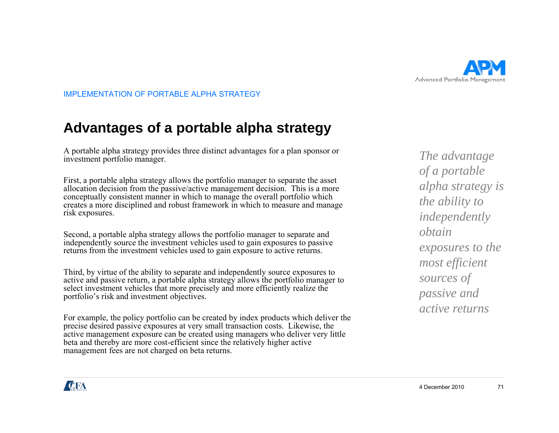

IMPLEMENTATION OF PORTABLE ALPHA STRATEGY

### **Advantages of a portable alpha strategy g p p gy**

A portable alpha strategy provides three distinct advantages for a plan sponsor or investment portfolio manager.

First, a portable alpha strategy allows the portfolio manager to separate the asset allocation decision from the passive/active management decision. This is a more  $\alpha$  algebra  $\alpha$  and  $\alpha$ conceptually consistent manner in which to manage the overall portfolio which creates a more disciplined and robust framework in which to measure and manage risk exposures.

Second, a portable alpha strategy allows the portfolio manager to separate and independently source the investment vehicles used to gain exposures to passive *exposures to the*  returns from the investment vehicles used to gain exposure to active returns. independently source the investment vehicles used to gain exposures to passive

Third, by virtue of the ability to separate and independently source exposures to active and passive return, a portable alpha strategy allows the portfolio manager to select investment vehicles that more precisely and more efficiently realize the portfolio's risk and investment objectives.

For example, the policy portfolio can be created by index products which deliver the precise desired passive exposures at very small transaction costs. Likewise, the active management exposure can be created using managers who deliver very little beta and thereby are more cost-efficient since the relatively higher active management fees are not charged on beta returns.

*The advantage of a portable alpha strategy is the ability to independently obtain h most efficient sources of passive and active returns*

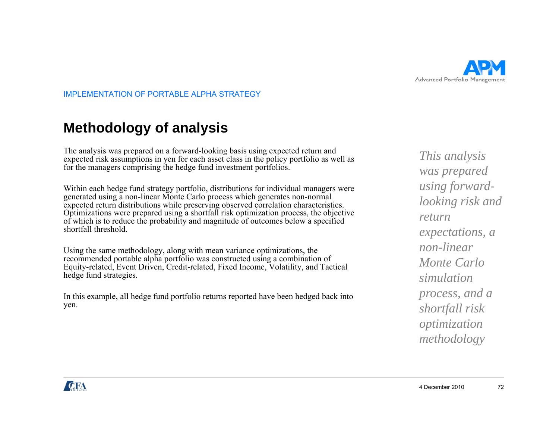

IMPLEMENTATION OF PORTABLE ALPHA STRATEGY

# **Methodology of analysis gy y**

The analysis was prepared on a forward-looking basis using expected return and<br>expected risk assumptions in yen for each asset class in the policy portfolio as well as<br>for the managers comprising the hedge fund investment

generated using a non-linear Monte Carlo process which generates non-normal expected return distributions while preserving observed correlation characteristics. Optimizations were prepared using a shortfall risk optimization process, the objective of which is to reduce the probability and magnitude of outcomes below a specified shortfall threshold.

Using the same methodology, along with mean variance optimizations, the recommended portable alpha portfolio was constructed using a combination of Equity-related, Event Driven, Credit-related, Fixed Income, Volatility, and Tactical hedge fund strategies.

In this example, all hedge fund portfolio returns reported have been hedged back into *process*, yen.

*This analysis was prepared using forwardlooking risk and return expectations, a linon-linear Monte Carlo simulation process, and a shortfall risk optimization methodology*

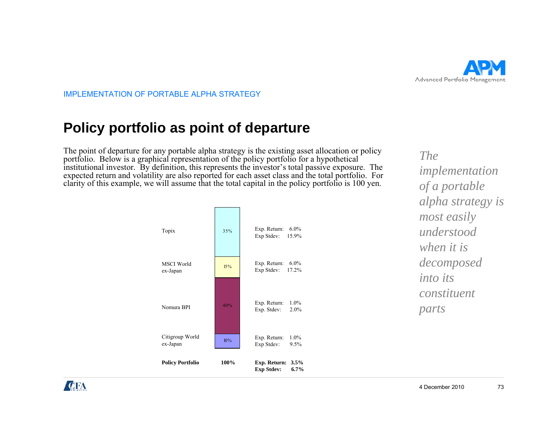

# **Policy portfolio as point of departure yp p p**

The point of departure for any portable alpha strategy is the existing asset allocation or policy portfolio. Below is a graphical representation of the policy portfolio for a hypothetical institutional investor. By definition, this represents the investor's total passive exposure. The expected return and volatility are also reported for each asset class and the total portfolio. For clarity of this example, we will assume that the total capital in the policy portfolio is 100 yen.



*The implementation of <sup>a</sup> portable alpha strategy is most easily understood h iiwhen it is decomposed into its constituent parts*

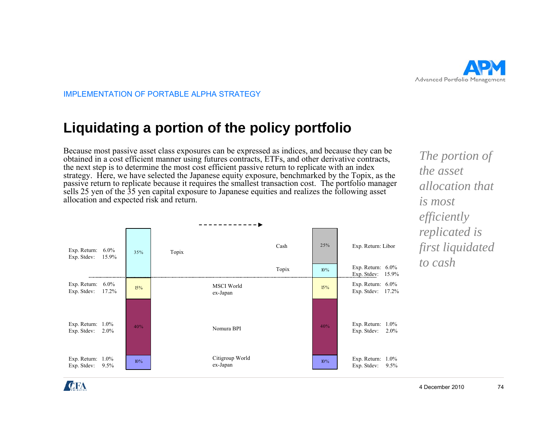

# **Liquidating a portion of the policy portfolio q g p p yp**

Because most passive asset class exposures can be expressed as indices, and because they can be obtained in a cost efficient manner using futures contracts, ETFs, and other derivative contracts, the next step is to determine the most cost efficient passive return to replicate with an index strategy. Here, we have selected the Japanese equity exposure, benchmarked by the Topix, as the passive return to replicate because it requires the smallest transaction cost. The portfolio manager sells 25 yen of the 35 yen capital exposure to Japanese equities and realizes the following asset allocation and expected risk and return.

| Exp. Return: $6.0\%$<br>15.9%<br>Exp. Stdev: | 35%    | Cash<br>Topix                 | 25%    | Exp. Return: Libor                          |  |  |  |  |  |  |
|----------------------------------------------|--------|-------------------------------|--------|---------------------------------------------|--|--|--|--|--|--|
|                                              |        | Topix                         | $10\%$ | Exp. Return: $6.0\%$<br>Exp. Stdev: 15.9%   |  |  |  |  |  |  |
| Exp. Return: $6.0\%$<br>Exp. Stdev:<br>17.2% | $15\%$ | <b>MSCI</b> World<br>ex-Japan | 15%    | Exp. Return: $6.0\%$<br>Exp. Stdev: 17.2%   |  |  |  |  |  |  |
| Exp. Return: $1.0\%$<br>Exp. Stdev: $2.0\%$  | 40%    | Nomura BPI                    | 40%    | Exp. Return: $1.0\%$<br>Exp. Stdev:<br>2.0% |  |  |  |  |  |  |
| Exp. Return: $1.0\%$<br>Exp. Stdev: 9.5%     | $10\%$ | Citigroup World<br>ex-Japan   | $10\%$ | Exp. Return: $1.0\%$<br>Exp. Stdev:<br>9.5% |  |  |  |  |  |  |

*The portion of the asset allocation thatis most efficiently replicated is fi li id d first liquidated to cash*

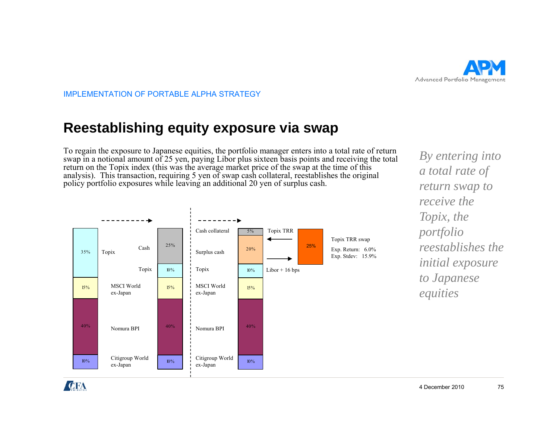

# **Reestablishing equity exposure via swap gq y p p**

To regain the exposure to Japanese equities, the portfolio manager enters into a total rate of return swap in a notional amount of 25 yen, paying Libor plus sixteen basis points and receiving the total return on the Topix index (this was the average market price of the swap at the time of this analysis). This transaction, requiring 5 yen of swap cash collateral, reestablishes the original policy portfolio exposures while leaving an additional 20 yen of surplus cash.



*By entering into a total rate of return swap to receive the Topix, the portfolio initial exposure to Japanese equities q*

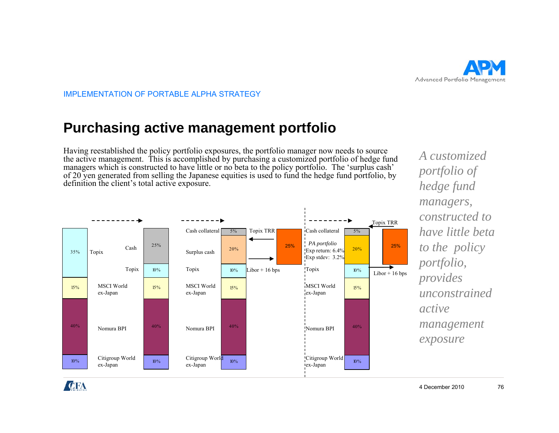

# **Purchasing active management portfolio g gp**

Having reestablished the policy portfolio exposures, the portfolio manager now needs to source the active management. This is accomplished by purchasing a customized portfolio of hedge fund managers which is constructed to have little or no beta to the policy portfolio. The 'surplus cash' of 20 yen generated from selling the Japanese equities is used to fund the hedge fund portfolio, by definition the client's total active exposure.



*A customized portfolio of hedge fund managers, constructed to have little beta to the policy portfolio, provides unconstrained active management exposure*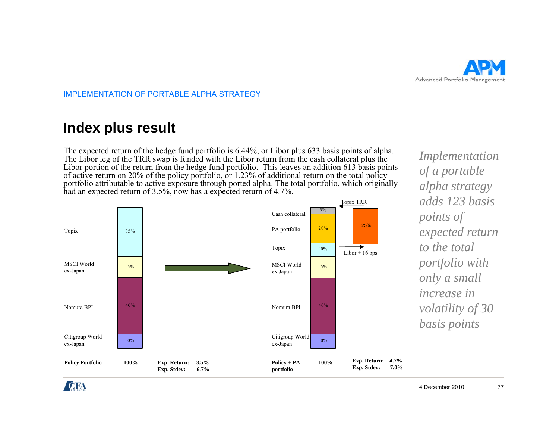

## **Index plus result**

The expected return of the hedge fund portfolio is 6.44%, or Libor plus 633 basis points of alpha. The Libor leg of the TRR swap is funded with the Libor return from the cash collateral plus the Libor portion of the return from the hedge fund portfolio. This leaves an addition 613 basis points of active return on 20% of the policy portfolio, or 1.23% of additional return on the total policy portfolio attributable to active exposure through ported alpha. The total portfolio, which originally had an expected return of 3.5%, now has a expected return of 4.7%.  $\sqrt{0}$ .



*Implementation of a portable alpha strategy adds 123 basis points of expected return he total to the totalportfolio with only a small increase in volatility of 30 basis points*

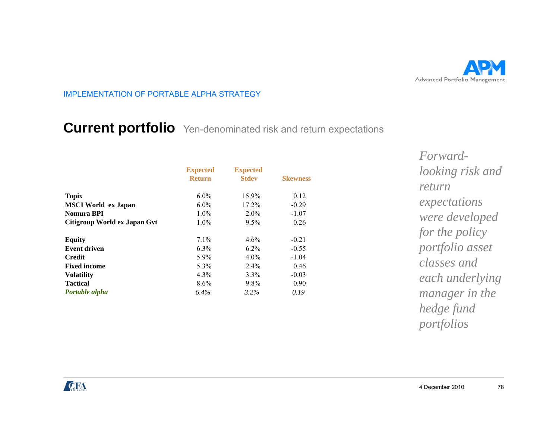

# **Current portfolio** Yen-denominated risk and return expectations **p**

|                              | <b>Expected</b> | <b>Expected</b> |                 | looking            |  |
|------------------------------|-----------------|-----------------|-----------------|--------------------|--|
|                              | <b>Return</b>   | <b>Stdev</b>    | <b>Skewness</b> |                    |  |
|                              |                 |                 |                 | return             |  |
| <b>Topix</b>                 | $6.0\%$         | 15.9%           | 0.12            |                    |  |
| <b>MSCI</b> World ex Japan   | $6.0\%$         | 17.2%           | $-0.29$         |                    |  |
| <b>Nomura BPI</b>            | $1.0\%$         | $2.0\%$         | $-1.07$         | expecterial        |  |
| Citigroup World ex Japan Gvt | $1.0\%$         | 9.5%            | 0.26            |                    |  |
|                              |                 |                 |                 | for the<br>portfol |  |
| <b>Equity</b>                | 7.1%            | 4.6%            | $-0.21$         |                    |  |
| <b>Event driven</b>          | 6.3%            | $6.2\%$         | $-0.55$         |                    |  |
| <b>Credit</b>                | $5.9\%$         | $4.0\%$         | $-1.04$         |                    |  |
| <b>Fixed income</b>          | 5.3%            | $2.4\%$         | 0.46            | classes            |  |
| <b>Volatility</b>            | $4.3\%$         | 3.3%            | $-0.03$         | each u             |  |
| <b>Tactical</b>              | $8.6\%$         | $9.8\%$         | 0.90            |                    |  |
| Portable alpha               | 6.4%            | $3.2\%$         | 0.19            | manag              |  |

*Forwardlooking risk and returnexpectations were developed for the policy f li portfolio asset classes and each underlying manager in the hedge fund portfolios*

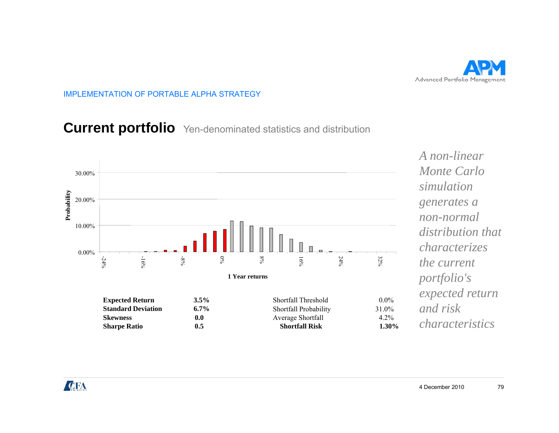

# **Current portfolio** Yen-denominated statistics and distribution



*A non-linear Monte Carlo simulationgenerates a non-normal distribution that h icharacterizes the current portfolio's expected return and risk characteristics*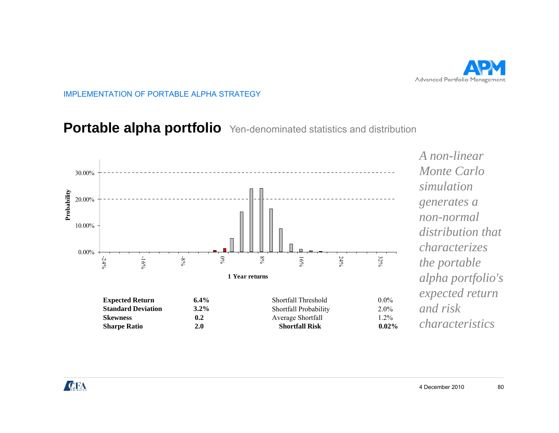

# **Portable alpha portfolio** Yen-denominated statistics and distribution



*A non-linear Monte Carlo simulationdistribution that h icharacterizes the portable alpha portfolio's and risk characteristics*

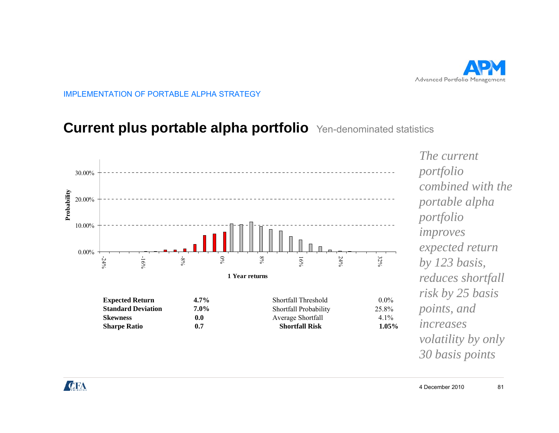

# **Current plus portable alpha portfolio** Yen-denominated statistics **p p pp**

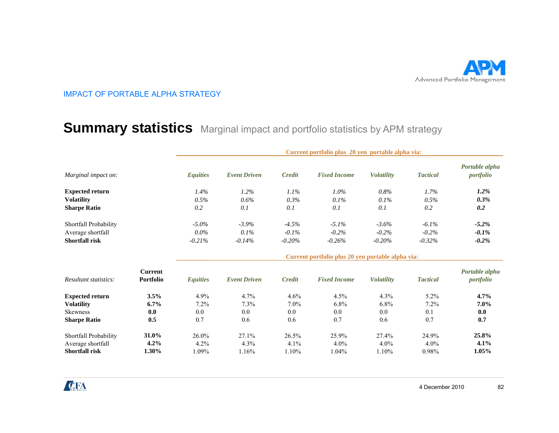

### $\mathbf{Summary}$  statistics Marginal impact and portfolio statistics by APM strategy

|                              |                                    | Current portfolio plus 20 yen portable alpha via: |                     |               |                                                   |                   |                 |                             |  |
|------------------------------|------------------------------------|---------------------------------------------------|---------------------|---------------|---------------------------------------------------|-------------------|-----------------|-----------------------------|--|
| Marginal impact on:          |                                    | <b>Equities</b>                                   | <b>Event Driven</b> | Credit        | <b>Fixed Income</b>                               | <b>Volatility</b> | <b>Tactical</b> | Portable alpha<br>portfolio |  |
| <b>Expected return</b>       |                                    | 1.4%                                              | 1.2%                | 1.1%          | $1.0\%$                                           | 0.8%              | 1.7%            | $1.2\%$                     |  |
| <b>Volatility</b>            |                                    | 0.5%                                              | 0.6%                | 0.3%          | 0.1%                                              | 0.1%              | 0.5%            | $0.3\%$                     |  |
| <b>Sharpe Ratio</b>          |                                    | 0.2                                               | 0.1                 | 0.1           | 0.1                                               | 0.1               | 0.2             | 0.2                         |  |
| Shortfall Probability        |                                    | $-5.0\%$                                          | $-3.9\%$            | $-4.5%$       | $-5.1\%$                                          | $-3.6\%$          | $-6.1\%$        | $-5.2\%$                    |  |
| Average shortfall            |                                    | $0.0\%$                                           | 0.1%                | $-0.1\%$      | $-0.2\%$                                          | $-0.2\%$          | $-0.2\%$        | $-0.1\%$                    |  |
| <b>Shortfall risk</b>        |                                    | $-0.21%$                                          | $-0.14%$            | $-0.20%$      | $-0.26%$                                          | $-0.20%$          | $-0.32%$        | $-0.2\%$                    |  |
|                              |                                    |                                                   |                     |               | Current portfolio plus 20 yen portable alpha via: |                   |                 |                             |  |
| <i>Resultant statistics:</i> | <b>Current</b><br><b>Portfolio</b> | <b>Equities</b>                                   | <b>Event Driven</b> | <b>Credit</b> | <b>Fixed Income</b>                               | <b>Volatility</b> | <b>Tactical</b> | Portable alpha<br>portfolio |  |
| <b>Expected return</b>       | 3.5%                               | 4.9%                                              | 4.7%                | 4.6%          | 4.5%                                              | 4.3%              | $5.2\%$         | 4.7%                        |  |
| <b>Volatility</b>            | $6.7\%$                            | 7.2%                                              | 7.3%                | $7.0\%$       | $6.8\%$                                           | 6.8%              | 7.2%            | $7.0\%$                     |  |
| <b>Skewness</b>              | 0.0                                | 0.0                                               | 0.0                 | 0.0           | 0.0                                               | 0.0               | 0.1             | 0.0                         |  |
| <b>Sharpe Ratio</b>          | 0.5                                | 0.7                                               | 0.6                 | 0.6           | 0.7                                               | 0.6               | 0.7             | 0.7                         |  |
| Shortfall Probability        | 31.0%                              | 26.0%                                             | 27.1%               | 26.5%         | 25.9%                                             | 27.4%             | 24.9%           | 25.8%                       |  |
| Average shortfall            | 4.2%                               | 4.2%                                              | 4.3%                | 4.1%          | $4.0\%$                                           | 4.0%              | $4.0\%$         | 4.1%                        |  |
| <b>Shortfall risk</b>        | 1.30%                              | 1.09%                                             | 1.16%               | 1.10%         | 1.04%                                             | 1.10%             | 0.98%           | 1.05%                       |  |

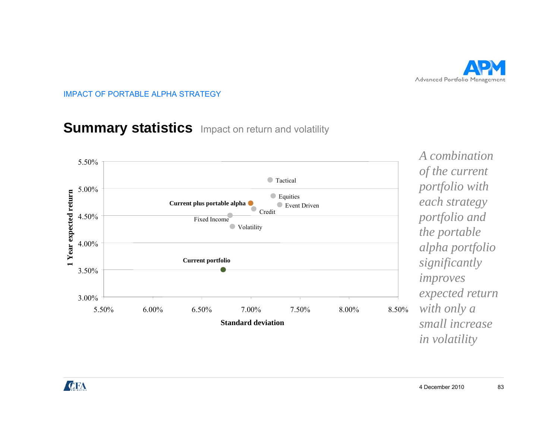

## **Summary statistics** Impact on return and volatility



*A combination of the current each strategy portfolio and the portable l h f li alpha portfolio significantly improves expected return p with only a small increase in volatility*

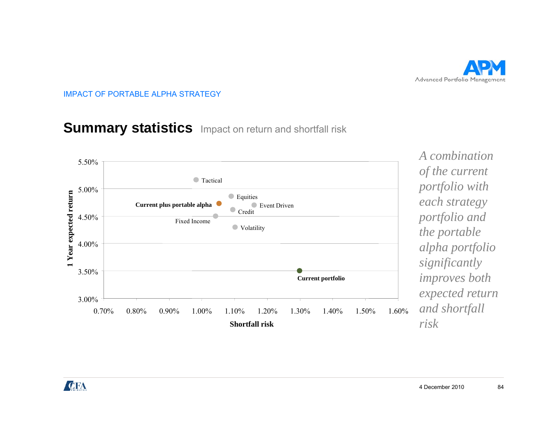

## **Summary statistics** Impact on return and shortfall risk



*A combination of the current each strategy portfolio and the portable l h f li alpha portfolio significantly improves both expected return p and shortfall risk*

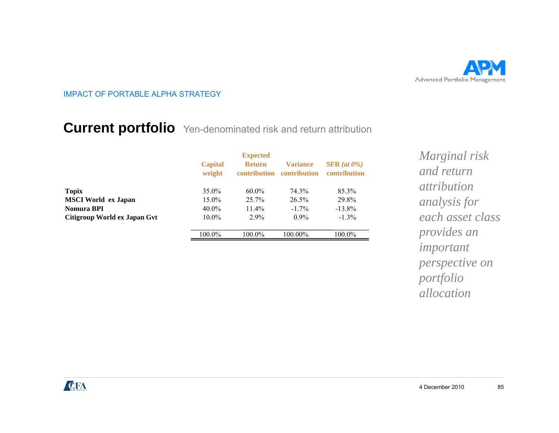

# **Current portfolio** Yen-denominated risk and return attribution

|                              | <b>Capital</b><br>weight | <b>Expected</b><br><b>Return</b><br>contribution | <b>Variance</b><br>contribution | $SFR$ (at $0\%$ )<br>contribution |
|------------------------------|--------------------------|--------------------------------------------------|---------------------------------|-----------------------------------|
| <b>Topix</b>                 | $35.0\%$                 | $60.0\%$                                         | 74.3%                           | 85.3%                             |
| <b>MSCI</b> World ex Japan   | 15.0%                    | $25.7\%$                                         | $26.5\%$                        | 29.8%                             |
| Nomura BPI                   | $40.0\%$                 | $11.4\%$                                         | $-1.7\%$                        | $-13.8\%$                         |
| Citigroup World ex Japan Gvt | $10.0\%$                 | $2.9\%$                                          | $0.9\%$                         | $-1.3\%$                          |
|                              | 100.0%                   | $100.0\%$                                        | 100.00%                         | 100.0%                            |

*Marginal risk and return attributionanalysis for each asset class provides an i important perspective on portfolio allocation*

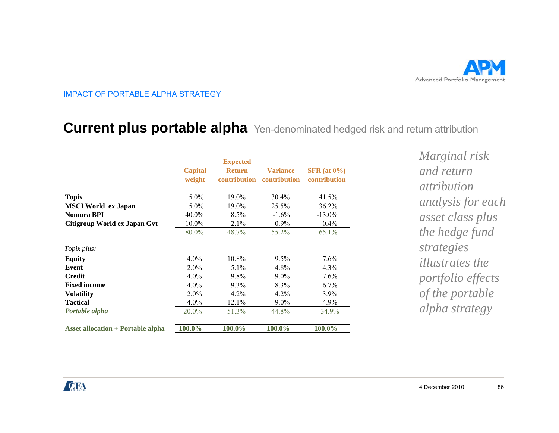

### **Current plus portable alpha** Yen-denominated hedged risk and return attribution **pp p**

| <b>Topix</b>                               | <b>Capital</b><br>weight<br>15.0% | <b>Expected</b><br><b>Return</b><br>contribution<br>19.0% | <b>Variance</b><br>contribution<br>$30.4\%$ | $SFR$ (at $0\%$ )<br>contribution<br>41.5% | Marginal risk<br>and return<br><i>attribution</i> |
|--------------------------------------------|-----------------------------------|-----------------------------------------------------------|---------------------------------------------|--------------------------------------------|---------------------------------------------------|
| <b>MSCI</b> World ex Japan                 | 15.0%                             | 19.0%                                                     | 25.5%                                       | 36.2%                                      | <i>analysis for eac</i>                           |
| Nomura BPI<br>Citigroup World ex Japan Gvt | $40.0\%$<br>$10.0\%$              | 8.5%<br>2.1%                                              | $-1.6\%$<br>$0.9\%$                         | $-13.0\%$<br>$0.4\%$                       | asset class plus                                  |
|                                            | 80.0%                             | 48.7%                                                     | 55.2%                                       | 65.1%                                      | the hedge fund                                    |
| Topix plus:                                |                                   |                                                           |                                             |                                            | strategies                                        |
| <b>Equity</b>                              | $4.0\%$                           | 10.8%                                                     | $9.5\%$                                     | $7.6\%$                                    | <i>illustrates the</i>                            |
| Event                                      | $2.0\%$                           | $5.1\%$                                                   | 4.8%                                        | $4.3\%$                                    |                                                   |
| Credit                                     | $4.0\%$                           | 9.8%                                                      | $9.0\%$                                     | $7.6\%$                                    | portfolio effects                                 |
| <b>Fixed income</b>                        | $4.0\%$                           | $9.3\%$                                                   | 8.3%                                        | $6.7\%$                                    |                                                   |
| <b>Volatility</b>                          | $2.0\%$                           | 4.2%                                                      | 4.2%                                        | $3.9\%$                                    | of the portable                                   |
| <b>Tactical</b>                            | $4.0\%$                           | 12.1%                                                     | $9.0\%$                                     | $4.9\%$                                    |                                                   |
| Portable alpha                             | 20.0%                             | 51.3%                                                     | 44.8%                                       | 34.9%                                      | alpha strategy                                    |
| <b>Asset allocation + Portable alpha</b>   | 100.0%                            | 100.0%                                                    | 100.0%                                      | 100.0%                                     |                                                   |
|                                            |                                   |                                                           |                                             |                                            |                                                   |

*Marginal risk and return attributionanalysis for each asset class plus the hedge fund illustrates the portfolio effects*   $alpha$  *strategy* 

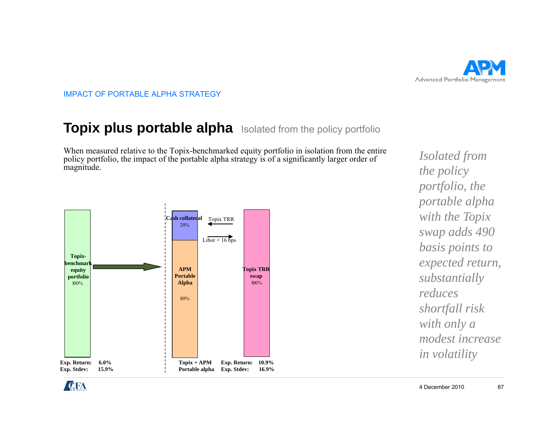

## **Topix plus portable alpha** Isolated from the policy portfolio

When measured relative to the Topix-benchmarked equity portfolio in isolation from the entire policy portfolio, the impact of the portable alpha strategy is of a significantly larger order of magnitude.



*Isolated from the policy portfolio the portfolio, portable alpha with the Topix swap adds 490*   $\boldsymbol{b}$  *basis points to*  $\boldsymbol{b}$ *expected return, substantially reduces shortfall risk with only a modest increase i l tilit*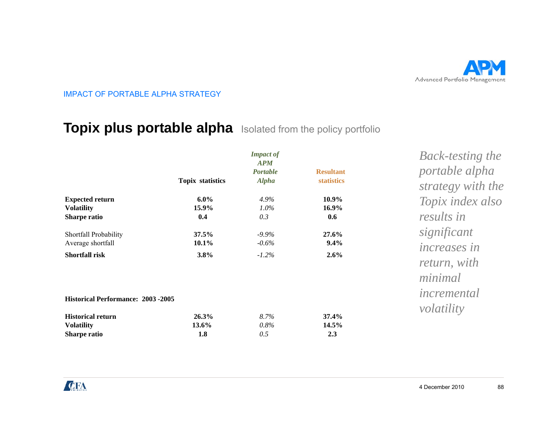

## **Topix plus portable alpha** Isolated from the policy portfolio

|                                                                                                            | <b>Topix statistics</b>      | <b>Impact of</b><br><b>APM</b><br><b>Portable</b><br><b>Alpha</b> | <b>Resultant</b><br>statistics | <b>Back-testing the</b><br>portable alpha<br>strategy with the |
|------------------------------------------------------------------------------------------------------------|------------------------------|-------------------------------------------------------------------|--------------------------------|----------------------------------------------------------------|
| <b>Expected return</b><br><b>Volatility</b><br>Sharpe ratio                                                | $6.0\%$<br>15.9%<br>0.4      | 4.9%<br>$1.0\%$<br>0.3                                            | $10.9\%$<br>$16.9\%$<br>0.6    | Topix index also<br>results in                                 |
| Shortfall Probability<br>Average shortfall<br><b>Shortfall risk</b>                                        | $37.5\%$<br>$10.1\%$<br>3.8% | $-9.9\%$<br>$-0.6\%$<br>$-1.2%$                                   | 27.6%<br>$9.4\%$<br>2.6%       | significant<br><i>increases in</i><br>return, with<br>minimal  |
| <b>Historical Performance: 2003 -2005</b><br><b>Historical return</b><br><b>Volatility</b><br>Sharpe ratio | 26.3%<br>$13.6\%$<br>1.8     | 8.7%<br>0.8%<br>0.5                                               | 37.4%<br>$14.5\%$<br>2.3       | incremental<br>volatility                                      |

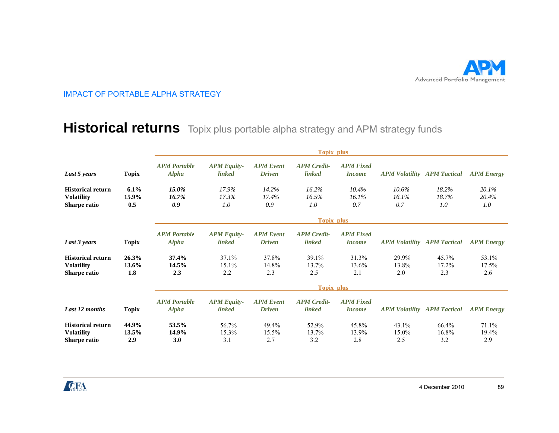

### **Historical returns** Topix plus portable alpha strategy and APM strategy funds

|                                                               |                          | <b>Topix plus</b>                   |                                     |                                   |                                     |                                   |                                    |                       |                       |  |
|---------------------------------------------------------------|--------------------------|-------------------------------------|-------------------------------------|-----------------------------------|-------------------------------------|-----------------------------------|------------------------------------|-----------------------|-----------------------|--|
| Last 5 years                                                  | <b>Topix</b>             | <b>APM</b> Portable<br><b>Alpha</b> | <b>APM Equity-</b><br><i>linked</i> | <b>APM</b> Event<br><b>Driven</b> | <b>APM</b> Credit-<br><i>linked</i> | <b>APM Fixed</b><br><i>Income</i> | <b>APM Volatility APM Tactical</b> |                       | <b>APM Energy</b>     |  |
| <b>Historical return</b><br><b>Volatility</b><br>Sharpe ratio | 6.1%<br>15.9%<br>0.5     | $15.0\%$<br>16.7%<br>0.9            | 17.9%<br>17.3%<br>1.0               | 14.2%<br>17.4%<br>0.9             | 16.2%<br>16.5%<br>1.0               | 10.4%<br>16.1%<br>0.7             | 10.6%<br>16.1%<br>0.7              | 18.2%<br>18.7%<br>1.0 | 20.1%<br>20.4%<br>1.0 |  |
|                                                               |                          | <b>Topix plus</b>                   |                                     |                                   |                                     |                                   |                                    |                       |                       |  |
| Last 3 years                                                  | <b>Topix</b>             | <b>APM Portable</b><br><b>Alpha</b> | <b>APM Equity-</b><br><i>linked</i> | <b>APM</b> Event<br><b>Driven</b> | <b>APM</b> Credit-<br><i>linked</i> | <b>APM Fixed</b><br><i>Income</i> | <b>APM Volatility APM Tactical</b> |                       | <b>APM Energy</b>     |  |
| <b>Historical return</b><br><b>Volatility</b><br>Sharpe ratio | 26.3%<br>13.6%<br>1.8    | 37.4%<br>14.5%<br>2.3               | 37.1%<br>15.1%<br>2.2               | 37.8%<br>14.8%<br>2.3             | 39.1%<br>13.7%<br>2.5               | 31.3%<br>13.6%<br>2.1             | 29.9%<br>13.8%<br>2.0              | 45.7%<br>17.2%<br>2.3 | 53.1%<br>17.5%<br>2.6 |  |
|                                                               |                          | <b>Topix plus</b>                   |                                     |                                   |                                     |                                   |                                    |                       |                       |  |
| Last 12 months                                                | <b>Topix</b>             | <b>APM</b> Portable<br><b>Alpha</b> | <b>APM Equity-</b><br><i>linked</i> | <b>APM</b> Event<br><b>Driven</b> | <b>APM</b> Credit-<br><i>linked</i> | <b>APM Fixed</b><br><i>Income</i> | <b>APM Volatility APM Tactical</b> |                       | <b>APM Energy</b>     |  |
| <b>Historical return</b><br><b>Volatility</b><br>Sharpe ratio | 44.9%<br>$13.5\%$<br>2.9 | 53.5%<br>14.9%<br>3.0               | 56.7%<br>15.3%<br>3.1               | 49.4%<br>15.5%<br>2.7             | 52.9%<br>13.7%<br>3.2               | 45.8%<br>13.9%<br>2.8             | 43.1%<br>15.0%<br>2.5              | 66.4%<br>16.8%<br>3.2 | 71.1%<br>19.4%<br>2.9 |  |

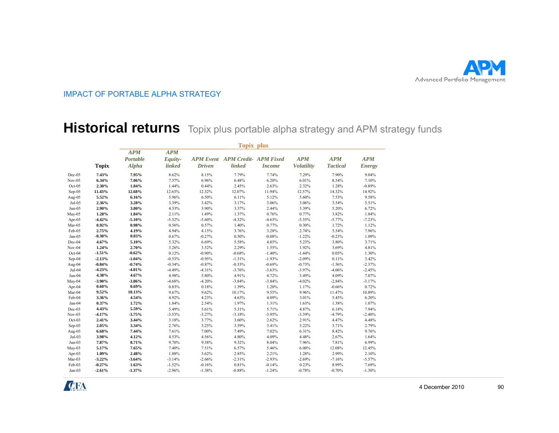

### **Historical returns** Topix plus portable alpha strategy and APM strategy funds

|           |              | <b>Topix plus</b>      |                       |               |                                        |               |                   |                 |               |  |
|-----------|--------------|------------------------|-----------------------|---------------|----------------------------------------|---------------|-------------------|-----------------|---------------|--|
|           |              | <b>APM</b><br>Portable | <b>APM</b><br>Equity- |               | <b>APM Event APM Credit- APM Fixed</b> |               | <b>APM</b>        | <b>APM</b>      | <b>APM</b>    |  |
|           | <b>Topix</b> | <b>Alpha</b>           | <b>linked</b>         | <b>Driven</b> | linked                                 | <b>Income</b> | <b>Volatility</b> | <b>Tactical</b> | <b>Energy</b> |  |
| $Dec-05$  | 7.43%        | 7.95%                  | 8.62%                 | 8.15%         | 7.79%                                  | 7.74%         | 7.29%             | 7.90%           | 9.04%         |  |
| $Nov-05$  | 6.34%        | 7.06%                  | 7.57%                 | 6.96%         | 6.48%                                  | 6.20%         | 6.01%             | 8.54%           | 7.10%         |  |
| $Oct-05$  | 2.30%        | 1.84%                  | 1.44%                 | 0.44%         | 2.45%                                  | 2.63%         | 2.32%             | 1.28%           | $-0.89%$      |  |
| Sep-05    | 11.43%       | 12.68%                 | 12.63%                | 12.32%        | 12.07%                                 | 11.94%        | 12.57%            | 14.32%          | 14.92%        |  |
| Aug-05    | 5.52%        | 6.16%                  | 5.96%                 | 6.50%         | 6.11%                                  | 5.12%         | 5.60%             | 7.53%           | 9.58%         |  |
| $Jul-05$  | 2.36%        | 3.28%                  | 3.39%                 | 3.42%         | 3.17%                                  | 3.06%         | 3.06%             | 3.54%           | 5.51%         |  |
| Jun-05    | 2.90%        | 3.80%                  | 4.33%                 | 3.90%         | 3.37%                                  | 2.44%         | 3.39%             | 5.20%           | 6.72%         |  |
| May-05    | 1.28%        | 1.84%                  | 2.11%                 | 1.49%         | 1.37%                                  | 0.76%         | 0.77%             | 3.82%           | 1.84%         |  |
| Apr- $05$ | $-4.42%$     | $-5.10%$               | $-5.32%$              | $-5.60%$      | $-4.32%$                               | $-4.63%$      | $-5.35%$          | $-5.77%$        | $-7.23%$      |  |
| Mar-05    | 0.92%        | 0.98%                  | 0.56%                 | 0.57%         | 1.40%                                  | 0.77%         | 0.30%             | 1.72%           | 1.12%         |  |
| Feb-05    | 2.75%        | 4.19%                  | 4.94%                 | 4.15%         | 3.76%                                  | 3.28%         | 2.74%             | 5.54%           | 7.96%         |  |
| Jan-05    | $-0.30%$     | 0.03%                  | 0.67%                 | $-0.27%$      | 0.50%                                  | $-0.08%$      | $-1.22%$          | $-0.23%$        | 1.09%         |  |
| Dec-04    | 4.67%        | 5.10%                  | 5.32%                 | 6.69%         | 5.58%                                  | 4.85%         | 5.23%             | 3.80%           | 3.71%         |  |
| $Nov-04$  | 1.24%        | 2.70%                  | 3.26%                 | 3.52%         | 2.29%                                  | 1.55%         | 1.92%             | 3.69%           | 4.81%         |  |
| Oct-04    | $-1.51%$     | $-0.62%$               | 0.12%                 | $-0.90%$      | $-0.68%$                               | $-1.40%$      | $-1.44%$          | 0.05%           | 1.30%         |  |
| Sep-04    | $-2.13%$     | $-1.04%$               | $-0.53%$              | $-0.95%$      | $-1.31%$                               | $-1.93%$      | $-2.09%$          | 0.11%           | 3.42%         |  |
| Aug-04    | $-0.84%$     | $-0.74%$               | $-0.34%$              | $-0.87%$      | $-0.33%$                               | $-0.69%$      | $-0.73%$          | $-1.56%$        | $-2.37%$      |  |
| Jul-04    | $-4.23%$     | $-4.01%$               | $-4.49%$              | $-4.31%$      | $-3.76%$                               | $-3.63%$      | $-3.97%$          | $-4.06%$        | $-2.45%$      |  |
| Jun-04    | 4.38%        | 4.67%                  | 4.98%                 | 5.80%         | 4.91%                                  | 4.72%         | 3.49%             | 4.09%           | 7.07%         |  |
| May-04    | $-3.90%$     | $-3.86%$               | $-4.68%$              | $-4.20%$      | $-3.84%$                               | $-3.84%$      | $-4.02%$          | $-2.84%$        | $-3.17%$      |  |
| Apr- $04$ | 0.60%        | 0.69%                  | 0.83%                 | 0.18%         | 1.39%                                  | 1.20%         | 1.17%             | $-0.66%$        | 0.72%         |  |
| Mar-04    | 9.52%        | 10.13%                 | 9.67%                 | 9.62%         | 10.17%                                 | 9.55%         | 9.96%             | 11.47%          | 10.89%        |  |
| Feb-04    | 3.36%        | 4.54%                  | 4.92%                 | 4.23%         | 4.63%                                  | 4.09%         | 3.01%             | 5.45%           | 6.20%         |  |
| Jan-04    | 0.37%        | 1.72%                  | 1.84%                 | 2.54%         | 1.97%                                  | 1.31%         | 1.63%             | 1.38%           | 1.07%         |  |
| Dec-03    | 4.43%        | 5.59%                  | 5.49%                 | 5.61%         | 5.31%                                  | 5.71%         | 4.87%             | 6.18%           | 7.94%         |  |
| $Nov-03$  | $-4.17%$     | $-3.75%$               | $-3.53%$              | $-3.27%$      | $-3.18%$                               | $-3.95%$      | $-3.39%$          | $-4.79%$        | $-2.40%$      |  |
| $Oct-03$  | 2.41%        | 3.44%                  | 3.18%                 | 3.77%         | 3.60%                                  | 2.62%         | 2.91%             | 4.47%           | 4.48%         |  |
| Sep-03    | 2.05%        | 3.34%                  | 2.76%                 | 3.25%         | 3.59%                                  | 3.41%         | 3.22%             | 3.71%           | 2.79%         |  |
| Aug-03    | 6.68%        | 7.44%                  | 7.61%                 | 7.00%         | 7.49%                                  | 7.02%         | 6.31%             | 8.42%           | 9.76%         |  |
| $Jul-03$  | 3.98%        | 4.12%                  | 4.53%                 | 4.56%         | 4.80%                                  | 4.09%         | 4.48%             | 2.67%           | 1.64%         |  |
| $Jun-03$  | 7.87%        | 8.71%                  | 9.70%                 | 9.38%         | 9.32%                                  | 8.04%         | 7.96%             | 7.81%           | 6.99%         |  |
| $May-03$  | 5.17%        | 7.65%                  | 7.40%                 | 7.51%         | 6.57%                                  | 5.46%         | $6.00\%$          | 12.08%          | 12.45%        |  |
| Apr- $03$ | 1.09%        | 2.48%                  | 1.88%                 | 3.62%         | 2.85%                                  | 2.21%         | 1.28%             | 2.99%           | 2.10%         |  |
| Mar-03    | $-3.22%$     | $-3.64%$               | $-3.14%$              | $-2.66%$      | $-2.31%$                               | $-2.93%$      | $-2.69%$          | $-7.16%$        | $-5.57%$      |  |
| Feb-03    | $-0.27%$     | 1.63%                  | $-1.52%$              | $-0.16%$      | 0.81%                                  | $-0.14%$      | 0.23%             | 8.99%           | 7.69%         |  |
| Jan-03    | $-2.61%$     | $-1.37%$               | $-2.96%$              | $-1.38%$      | $-0.88%$                               | $-1.24%$      | $-0.78%$          | $-0.70%$        | $-1.30%$      |  |

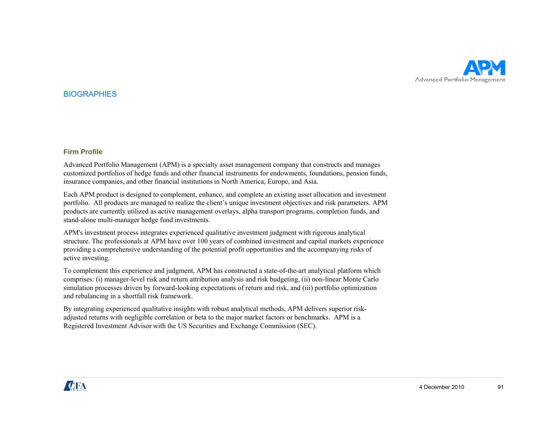

#### **BIOGRAPHIES**

#### **Firm Profile**

Advanced Portfolio Management (APM) is a specialty asset management company that constructs and manages customized portfolios of hedge funds and other financial instruments for endowments, foundations, pension funds, insurance companies, and other financial institutions in North America, Europe, and Asia.

Each APM product is designed to complement, enhance, and complete an existing asset allocation and investment portfolio. All products are managed to realize the client's unique investment objectives and risk parameters. APM products are currently utilized as active management overlays, alpha transport programs, completion funds, and stand-alone multi-manager hedge fund investments.

APM's investment process integrates experienced qualitative investment judgment with rigorous analytical structure. The professionals at APM have over 100 years of combined investment and capital markets experience providing a comprehensive understanding of the potential profit opportunities and the accompanying risks of active investing.

To complement this experience and judgment, APM has constructed a state-of-the-art analytical platform which comprises: (i) manager-level risk and return attribution analysis and risk budgeting, (ii) non-linear Monte Carlo simulation processes driven by forward-looking expectations of return and risk, and (iii) portfolio optimization and rebalancing in <sup>a</sup> shortfall risk framework.

By integrating experienced qualitative insights with robust analytical methods, APM delivers superior riskadjusted returns with negligible correlation or beta to the major market factors or benchmarks. APM is a Registered Investment Advisor with the US Securities and Exchange Commission (SEC).

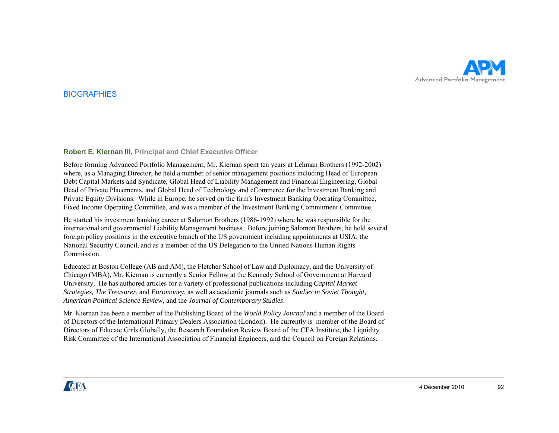

#### **BIOGRAPHIES**

#### **Robert E. Kiernan III, Principal and Chief Executive Officer**

Before forming Advanced Portfolio Management, Mr. Kiernan spent ten years at Lehman Brothers (1992-2002) where, as a Managing Director, he held a number of senior management positions including Head of European Debt Capital Markets and Syndicate, Global Head of Liability Management and Financial Engineering, Global Head of Private Placements, and Global Head of Technology and eCommerce for the Investment Banking and Private Equity Divisions. While in Europe, he served on the firm's Investment Banking Operating Committee, Fixed Income Operating Committee, and was a member of the Investment Banking Commitment Committee.

He started his investment banking career at Salomon Brothers (1986-1992) where he was responsible for the international and governmental Liability Management business. Before joining Salomon Brothers, he held several foreign policy positions in the executive branch of the US government including appointments at USIA, the National Security Council, and as a member of the US Delegation to the United Nations Human Rights **Commission** 

Educated at Boston College (AB and AM), the Fletcher School of Law and Diplomacy, and the University of Chicago (MBA), Mr. Kiernan is currently a Senior Fellow at the Kennedy School of Government at Harvard University. He has authored articles for a variety of professional publications including *Capital Market Strategies, The Treasurer*, and *Euromoney*, as well as academic journals such as *Studies in Soviet Thought, A l lS merican Political Science Review*, and h t <sup>e</sup>*Journal fC S d l of Contemporary Studies*.

Mr. Kiernan has been a member of the Publishing Board of the *World Policy Journal* and a member of the Board of Directors of the International Primary Dealers Association (London). He currently is member of the Board of Directors of Educate Girls Globally, the Research Foundation Review Board of the CFA Institute, the Liquidity Risk Committee of the International Association of Financial Engineers, and the Council on Foreign Relations.